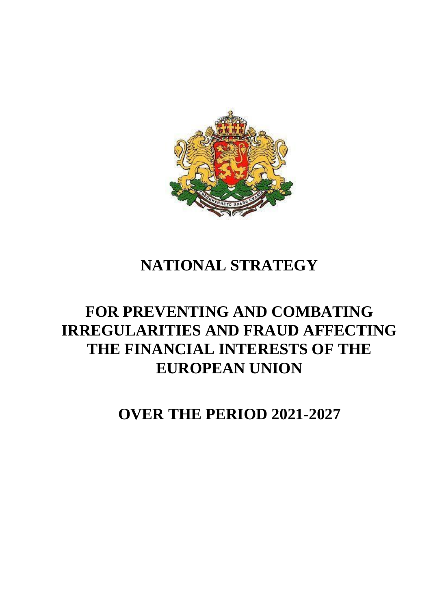

# **NATIONAL STRATEGY**

# **FOR PREVENTING AND COMBATING IRREGULARITIES AND FRAUD AFFECTING THE FINANCIAL INTERESTS OF THE EUROPEAN UNION**

**OVER THE PERIOD 2021-2027**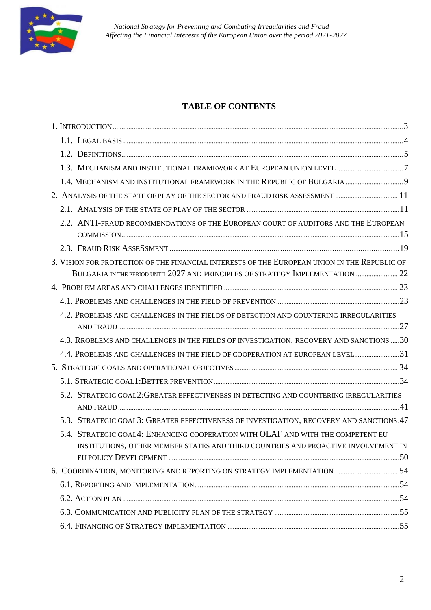

#### **TABLE OF CONTENTS**

|  | 2.2. ANTI-FRAUD RECOMMENDATIONS OF THE EUROPEAN COURT OF AUDITORS AND THE EUROPEAN           |  |
|--|----------------------------------------------------------------------------------------------|--|
|  |                                                                                              |  |
|  | 3. VISION FOR PROTECTION OF THE FINANCIAL INTERESTS OF THE EUROPEAN UNION IN THE REPUBLIC OF |  |
|  | BULGARIA IN THE PERIOD UNTIL 2027 AND PRINCIPLES OF STRATEGY IMPLEMENTATION                  |  |
|  |                                                                                              |  |
|  |                                                                                              |  |
|  | 4.2. PROBLEMS AND CHALLENGES IN THE FIELDS OF DETECTION AND COUNTERING IRREGULARITIES        |  |
|  | 4.3. RROBLEMS AND CHALLENGES IN THE FIELDS OF INVESTIGATION, RECOVERY AND SANCTIONS 30       |  |
|  | 4.4. PROBLEMS AND CHALLENGES IN THE FIELD OF COOPERATION AT EUROPEAN LEVEL31                 |  |
|  |                                                                                              |  |
|  |                                                                                              |  |
|  | 5.2. STRATEGIC GOAL2: GREATER EFFECTIVENESS IN DETECTING AND COUNTERING IRREGULARITIES       |  |
|  | 5.3. STRATEGIC GOAL3: GREATER EFFECTIVENESS OF INVESTIGATION, RECOVERY AND SANCTIONS.47      |  |
|  | 5.4. STRATEGIC GOAL4: ENHANCING COOPERATION WITH OLAF AND WITH THE COMPETENT EU              |  |
|  | INSTITUTIONS, OTHER MEMBER STATES AND THIRD COUNTRIES AND PROACTIVE INVOLVEMENT IN           |  |
|  |                                                                                              |  |
|  |                                                                                              |  |
|  |                                                                                              |  |
|  |                                                                                              |  |
|  |                                                                                              |  |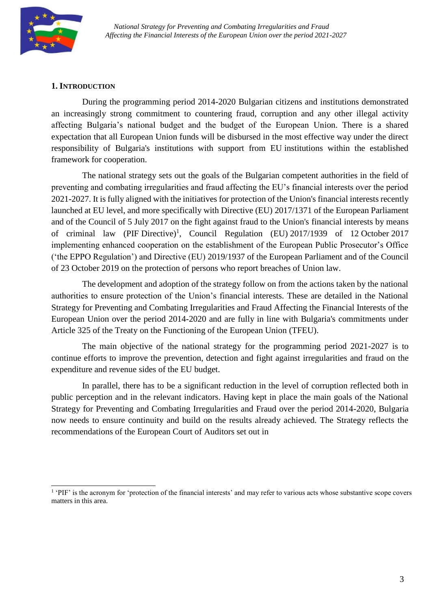

#### <span id="page-2-0"></span>**1. INTRODUCTION**

During the programming period 2014-2020 Bulgarian citizens and institutions demonstrated an increasingly strong commitment to countering fraud, corruption and any other illegal activity affecting Bulgaria's national budget and the budget of the European Union. There is a shared expectation that all European Union funds will be disbursed in the most effective way under the direct responsibility of Bulgaria's institutions with support from EU institutions within the established framework for cooperation.

The national strategy sets out the goals of the Bulgarian competent authorities in the field of preventing and combating irregularities and fraud affecting the EU's financial interests over the period 2021-2027. It is fully aligned with the initiatives for protection of the Union's financial interests recently launched at EU level, and more specifically with Directive (EU) 2017/1371 of the European Parliament and of the Council of 5 July 2017 on the fight against fraud to the Union's financial interests by means of criminal law (PIF Directive)<sup>1</sup>, Council Regulation (EU) 2017/1939 of 12 October 2017 implementing enhanced cooperation on the establishment of the European Public Prosecutor's Office ('the EPPO Regulation') and Directive (EU) 2019/1937 of the European Parliament and of the Council of 23 October 2019 on the protection of persons who report breaches of Union law.

The development and adoption of the strategy follow on from the actions taken by the national authorities to ensure protection of the Union's financial interests. These are detailed in the National Strategy for Preventing and Combating Irregularities and Fraud Affecting the Financial Interests of the European Union over the period 2014-2020 and are fully in line with Bulgaria's commitments under Article 325 of the Treaty on the Functioning of the European Union (TFEU).

The main objective of the national strategy for the programming period 2021-2027 is to continue efforts to improve the prevention, detection and fight against irregularities and fraud on the expenditure and revenue sides of the EU budget.

In parallel, there has to be a significant reduction in the level of corruption reflected both in public perception and in the relevant indicators. Having kept in place the main goals of the National Strategy for Preventing and Combating Irregularities and Fraud over the period 2014-2020, Bulgaria now needs to ensure continuity and build on the results already achieved. The Strategy reflects the recommendations of the European Court of Auditors set out in

<sup>1</sup> 'PIF' is the acronym for 'protection of the financial interests' and may refer to various acts whose substantive scope covers matters in this area.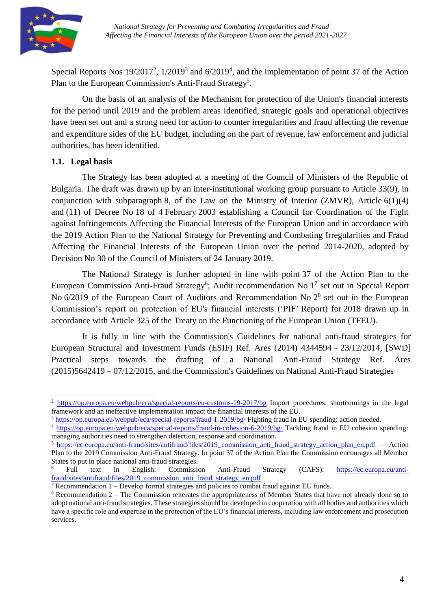

Special Reports Nos  $19/2017^2$ ,  $1/2019^3$  and  $6/2019^4$ , and the implementation of point 37 of the Action Plan to the European Commission's Anti-Fraud Strategy<sup>5</sup>.

On the basis of an analysis of the Mechanism for protection of the Union's financial interests for the period until 2019 and the problem areas identified, strategic goals and operational objectives have been set out and a strong need for action to counter irregularities and fraud affecting the revenue and expenditure sides of the EU budget, including on the part of revenue, law enforcement and judicial authorities, has been identified.

#### <span id="page-3-0"></span>**1.1. Legal basis**

The Strategy has been adopted at a meeting of the Council of Ministers of the Republic of Bulgaria. The draft was drawn up by an inter-institutional working group pursuant to Article 33(9), in conjunction with subparagraph 8, of the Law on the Ministry of Interior (ZMVR), Article  $6(1)(4)$ and (11) of Decree No 18 of 4 February 2003 establishing a Council for Coordination of the Fight against Infringements Affecting the Financial Interests of the European Union and in accordance with the 2019 Action Plan to the National Strategy for Preventing and Combating Irregularities and Fraud Affecting the Financial Interests of the European Union over the period 2014-2020, adopted by Decision No 30 of the Council of Ministers of 24 January 2019.

The National Strategy is further adopted in line with point 37 of the Action Plan to the European Commission Anti-Fraud Strategy<sup>6</sup>; Audit recommendation No  $1^7$  set out in Special Report No  $6/2019$  of the European Court of Auditors and Recommendation No  $2<sup>8</sup>$  set out in the European Commission's report on protection of EU's financial interests ('PIF' Report) for 2018 drawn up in accordance with Article 325 of the Treaty on the Functioning of the European Union (TFEU).

It is fully in line with the Commission's Guidelines for national anti-fraud strategies for European Structural and Investment Funds (ESIF) Ref. Ares (2014) 4344594 – 23/12/2014, [SWD] Practical steps towards the drafting of a National Anti-Fraud Strategy Ref. Ares (2015)5642419 – 07/12/2015, and the Commission's Guidelines on National Anti-Fraud Strategies

<sup>2</sup> <https://op.europa.eu/webpub/eca/special-reports/eu-customs-19-2017/bg> Import procedures: shortcomings in the legal framework and an ineffective implementation impact the financial interests of the EU.

<sup>&</sup>lt;sup>3</sup> <https://op.europa.eu/webpub/eca/special-reports/fraud-1-2019/bg/> Fighting fraud in EU spending: action needed.

<sup>4</sup> <https://op.europa.eu/webpub/eca/special-reports/fraud-in-cohesion-6-2019/bg/> Tackling fraud in EU cohesion spending: managing authorities need to strengthen detection, response and coordination.

<sup>5</sup> [https://ec.europa.eu/anti-fraud/sites/antifraud/files/2019\\_commission\\_anti\\_fraud\\_strategy\\_action\\_plan\\_en.pdf](https://ec.europa.eu/anti-fraud/sites/antifraud/files/2019_commission_anti_fraud_strategy_action_plan_en.pdf) — Action Plan to the 2019 Commission Anti-Fraud Strategy. In point 37 of the Action Plan the Commission encourages all Member States to put in place national anti-fraud strategies.

<sup>6</sup> Full text in English: Commission Anti-Fraud Strategy (CAFS): [https://ec.europa.eu/anti](https://ec.europa.eu/anti-fraud/sites/antifraud/files/2019_commission_anti_fraud_strategy_en.pdf)[fraud/sites/antifraud/files/2019\\_commission\\_anti\\_fraud\\_strategy\\_en.pdf](https://ec.europa.eu/anti-fraud/sites/antifraud/files/2019_commission_anti_fraud_strategy_en.pdf)

 $7$  Recommendation  $1$  – Develop formal strategies and policies to combat fraud against EU funds.

 $8$  Recommendation  $2$  – The Commission reiterates the appropriateness of Member States that have not already done so to adopt national anti-fraud strategies. These strategies should be developed in cooperation with all bodies and authorities which have a specific role and expertise in the protection of the EU's financial interests, including law enforcement and prosecution services.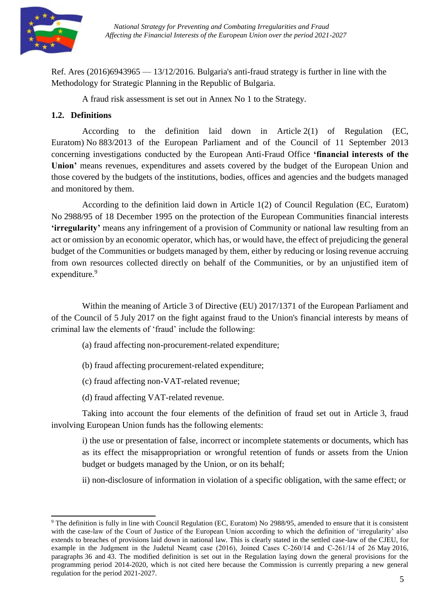

Ref. Ares  $(2016)6943965 - 13/12/2016$ . Bulgaria's anti-fraud strategy is further in line with the Methodology for Strategic Planning in the Republic of Bulgaria.

A fraud risk assessment is set out in Annex No 1 to the Strategy.

#### <span id="page-4-0"></span>**1.2. Definitions**

According to the definition laid down in Article 2(1) of Regulation (EC, Euratom) No 883/2013 of the European Parliament and of the Council of 11 September 2013 concerning investigations conducted by the European Anti-Fraud Office **'financial interests of the Union'** means revenues, expenditures and assets covered by the budget of the European Union and those covered by the budgets of the institutions, bodies, offices and agencies and the budgets managed and monitored by them.

According to the definition laid down in Article 1(2) of Council Regulation (EC, Euratom) No 2988/95 of 18 December 1995 on the protection of the European Communities financial interests **'irregularity'** means any infringement of a provision of Community or national law resulting from an act or omission by an economic operator, which has, or would have, the effect of prejudicing the general budget of the Communities or budgets managed by them, either by reducing or losing revenue accruing from own resources collected directly on behalf of the Communities, or by an unjustified item of expenditure.<sup>9</sup>

Within the meaning of Article 3 of Directive (EU) 2017/1371 of the European Parliament and of the Council of 5 July 2017 on the fight against fraud to the Union's financial interests by means of criminal law the elements of 'fraud' include the following:

- (a) fraud affecting non-procurement-related expenditure;
- (b) fraud affecting procurement-related expenditure;
- (c) fraud affecting non-VAT-related revenue;
- (d) fraud affecting VAT-related revenue.

Taking into account the four elements of the definition of fraud set out in Article 3, fraud involving European Union funds has the following elements:

i) the use or presentation of false, incorrect or incomplete statements or documents, which has as its effect the misappropriation or wrongful retention of funds or assets from the Union budget or budgets managed by the Union, or on its behalf;

ii) non-disclosure of information in violation of a specific obligation, with the same effect; or

<sup>&</sup>lt;sup>9</sup> The definition is fully in line with Council Regulation (EC, Euratom) No 2988/95, amended to ensure that it is consistent with the case-law of the Court of Justice of the European Union according to which the definition of 'irregularity' also extends to breaches of provisions laid down in national law. This is clearly stated in the settled case-law of the CJEU, for example in the Judgment in the Judetul Neamţ case (2016), Joined Cases C-260/14 and C-261/14 of 26 May 2016, paragraphs 36 and 43. The modified definition is set out in the Regulation laying down the general provisions for the programming period 2014-2020, which is not cited here because the Commission is currently preparing a new general regulation for the period 2021-2027.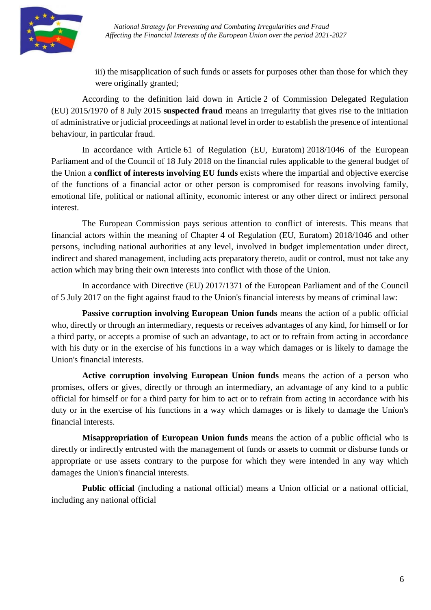

iii) the misapplication of such funds or assets for purposes other than those for which they were originally granted;

According to the definition laid down in Article 2 of Commission Delegated Regulation (EU) 2015/1970 of 8 July 2015 **suspected fraud** means an irregularity that gives rise to the initiation of administrative or judicial proceedings at national level in order to establish the presence of intentional behaviour, in particular fraud.

In accordance with Article 61 of Regulation (EU, Euratom) 2018/1046 of the European Parliament and of the Council of 18 July 2018 on the financial rules applicable to the general budget of the Union a **conflict of interests involving EU funds** exists where the impartial and objective exercise of the functions of a financial actor or other person is compromised for reasons involving family, emotional life, political or national affinity, economic interest or any other direct or indirect personal interest.

The European Commission pays serious attention to conflict of interests. This means that financial actors within the meaning of Chapter 4 of Regulation (EU, Euratom) 2018/1046 and other persons, including national authorities at any level, involved in budget implementation under direct, indirect and shared management, including acts preparatory thereto, audit or control, must not take any action which may bring their own interests into conflict with those of the Union.

In accordance with Directive (EU) 2017/1371 of the European Parliament and of the Council of 5 July 2017 on the fight against fraud to the Union's financial interests by means of criminal law:

**Passive corruption involving European Union funds** means the action of a public official who, directly or through an intermediary, requests or receives advantages of any kind, for himself or for a third party, or accepts a promise of such an advantage, to act or to refrain from acting in accordance with his duty or in the exercise of his functions in a way which damages or is likely to damage the Union's financial interests.

**Active corruption involving European Union funds** means the action of a person who promises, offers or gives, directly or through an intermediary, an advantage of any kind to a public official for himself or for a third party for him to act or to refrain from acting in accordance with his duty or in the exercise of his functions in a way which damages or is likely to damage the Union's financial interests.

**Misappropriation of European Union funds** means the action of a public official who is directly or indirectly entrusted with the management of funds or assets to commit or disburse funds or appropriate or use assets contrary to the purpose for which they were intended in any way which damages the Union's financial interests.

**Public official** (including a national official) means a Union official or a national official, including any national official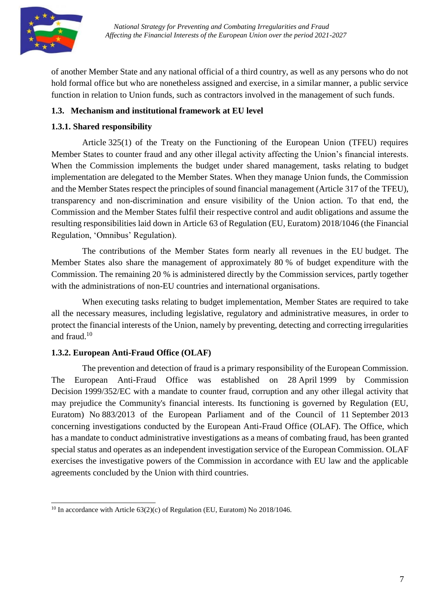

of another Member State and any national official of a third country, as well as any persons who do not hold formal office but who are nonetheless assigned and exercise, in a similar manner, a public service function in relation to Union funds, such as contractors involved in the management of such funds.

## <span id="page-6-0"></span>**1.3. Mechanism and institutional framework at EU level**

## **1.3.1. Shared responsibility**

Article 325(1) of the Treaty on the Functioning of the European Union (TFEU) requires Member States to counter fraud and any other illegal activity affecting the Union's financial interests. When the Commission implements the budget under shared management, tasks relating to budget implementation are delegated to the Member States. When they manage Union funds, the Commission and the Member States respect the principles of sound financial management (Article 317 of the TFEU), transparency and non-discrimination and ensure visibility of the Union action. To that end, the Commission and the Member States fulfil their respective control and audit obligations and assume the resulting responsibilities laid down in Article 63 of Regulation (EU, Euratom) 2018/1046 (the Financial Regulation, 'Omnibus' Regulation).

The contributions of the Member States form nearly all revenues in the EU budget. The Member States also share the management of approximately 80 % of budget expenditure with the Commission. The remaining 20 % is administered directly by the Commission services, partly together with the administrations of non-EU countries and international organisations.

When executing tasks relating to budget implementation, Member States are required to take all the necessary measures, including legislative, regulatory and administrative measures, in order to protect the financial interests of the Union, namely by preventing, detecting and correcting irregularities and fraud.<sup>10</sup>

## **1.3.2. European Anti-Fraud Office (OLAF)**

The prevention and detection of fraud is a primary responsibility of the European Commission. The European Anti-Fraud Office was established on 28 April 1999 by Commission Decision 1999/352/EC with a mandate to counter fraud, corruption and any other illegal activity that may prejudice the Community's financial interests. Its functioning is governed by Regulation (EU, Euratom) No 883/2013 of the European Parliament and of the Council of 11 September 2013 concerning investigations conducted by the European Anti-Fraud Office (OLAF). The Office, which has a mandate to conduct administrative investigations as a means of combating fraud, has been granted special status and operates as an independent investigation service of the European Commission. OLAF exercises the investigative powers of the Commission in accordance with EU law and the applicable agreements concluded by the Union with third countries.

 $10$  In accordance with Article 63(2)(c) of Regulation (EU, Euratom) No 2018/1046.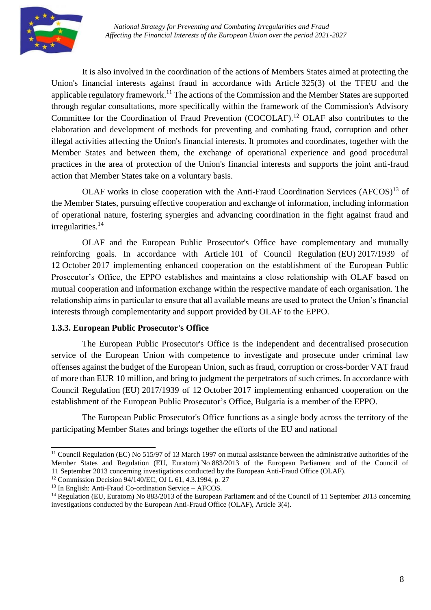

It is also involved in the coordination of the actions of Members States aimed at protecting the Union's financial interests against fraud in accordance with Article 325(3) of the TFEU and the applicable regulatory framework.<sup>11</sup> The actions of the Commission and the Member States are supported through regular consultations, more specifically within the framework of the Commission's Advisory Committee for the Coordination of Fraud Prevention (COCOLAF).<sup>12</sup> OLAF also contributes to the elaboration and development of methods for preventing and combating fraud, corruption and other illegal activities affecting the Union's financial interests. It promotes and coordinates, together with the Member States and between them, the exchange of operational experience and good procedural practices in the area of protection of the Union's financial interests and supports the joint anti-fraud action that Member States take on a voluntary basis.

OLAF works in close cooperation with the Anti-Fraud Coordination Services (AFCOS)<sup>13</sup> of the Member States, pursuing effective cooperation and exchange of information, including information of operational nature, fostering synergies and advancing coordination in the fight against fraud and  $irregularities.<sup>14</sup>$ 

OLAF and the European Public Prosecutor's Office have complementary and mutually reinforcing goals. In accordance with Article 101 of Council Regulation (EU) 2017/1939 of 12 October 2017 implementing enhanced cooperation on the establishment of the European Public Prosecutor's Office, the EPPO establishes and maintains a close relationship with OLAF based on mutual cooperation and information exchange within the respective mandate of each organisation. The relationship aims in particular to ensure that all available means are used to protect the Union's financial interests through complementarity and support provided by OLAF to the EPPO.

#### **1.3.3. European Public Prosecutor's Office**

The European Public Prosecutor's Office is the independent and decentralised prosecution service of the European Union with competence to investigate and prosecute under criminal law offenses against the budget of the European Union, such as fraud, corruption or cross-border VAT fraud of more than EUR 10 million, and bring to judgment the perpetrators of such crimes. In accordance with Council Regulation (EU) 2017/1939 of 12 October 2017 implementing enhanced cooperation on the establishment of the European Public Prosecutor's Office, Bulgaria is a member of the EPPO.

The European Public Prosecutor's Office functions as a single body across the territory of the participating Member States and brings together the efforts of the EU and national

 $11$  Council Regulation (EC) No 515/97 of 13 March 1997 on mutual assistance between the administrative authorities of the Member States and Regulation (EU, Euratom) No 883/2013 of the European Parliament and of the Council of 11 September 2013 concerning investigations conducted by the European Anti-Fraud Office (OLAF).

<sup>12</sup> Commission Decision 94/140/EC, OJ L 61, 4.3.1994, p. 27

<sup>13</sup> In English: Anti-Fraud Co-ordination Service – AFCOS.

<sup>&</sup>lt;sup>14</sup> Regulation (EU, Euratom) No 883/2013 of the European Parliament and of the Council of 11 September 2013 concerning investigations conducted by the European Anti-Fraud Office (OLAF), Article 3(4).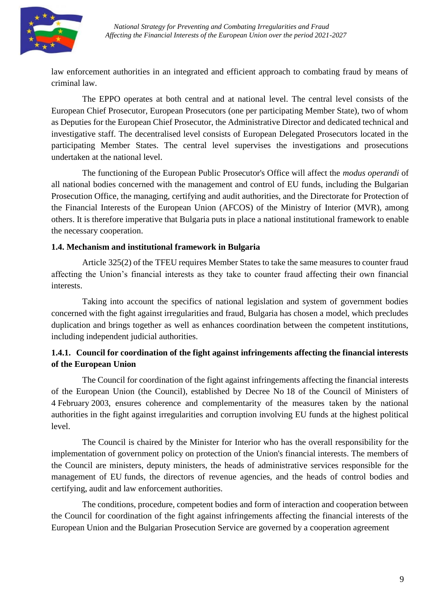

law enforcement authorities in an integrated and efficient approach to combating fraud by means of criminal law.

The EPPO operates at both central and at national level. The central level consists of the European Chief Prosecutor, European Prosecutors (one per participating Member State), two of whom as Deputies for the European Chief Prosecutor, the Administrative Director and dedicated technical and investigative staff. The decentralised level consists of European Delegated Prosecutors located in the participating Member States. The central level supervises the investigations and prosecutions undertaken at the national level.

The functioning of the European Public Prosecutor's Office will affect the *modus operandi* of all national bodies concerned with the management and control of EU funds, including the Bulgarian Prosecution Office, the managing, certifying and audit authorities, and the Directorate for Protection of the Financial Interests of the European Union (AFCOS) of the Ministry of Interior (MVR), among others. It is therefore imperative that Bulgaria puts in place a national institutional framework to enable the necessary cooperation.

#### <span id="page-8-0"></span>**1.4. Mechanism and institutional framework in Bulgaria**

Article 325(2) of the TFEU requires Member States to take the same measures to counter fraud affecting the Union's financial interests as they take to counter fraud affecting their own financial interests.

Taking into account the specifics of national legislation and system of government bodies concerned with the fight against irregularities and fraud, Bulgaria has chosen a model, which precludes duplication and brings together as well as enhances coordination between the competent institutions, including independent judicial authorities.

## **1.4.1. Council for coordination of the fight against infringements affecting the financial interests of the European Union**

The Council for coordination of the fight against infringements affecting the financial interests of the European Union (the Council), established by Decree No 18 of the Council of Ministers of 4 February 2003, ensures coherence and complementarity of the measures taken by the national authorities in the fight against irregularities and corruption involving EU funds at the highest political level.

The Council is chaired by the Minister for Interior who has the overall responsibility for the implementation of government policy on protection of the Union's financial interests. The members of the Council are ministers, deputy ministers, the heads of administrative services responsible for the management of EU funds, the directors of revenue agencies, and the heads of control bodies and certifying, audit and law enforcement authorities.

The conditions, procedure, competent bodies and form of interaction and cooperation between the Council for coordination of the fight against infringements affecting the financial interests of the European Union and the Bulgarian Prosecution Service are governed by a cooperation agreement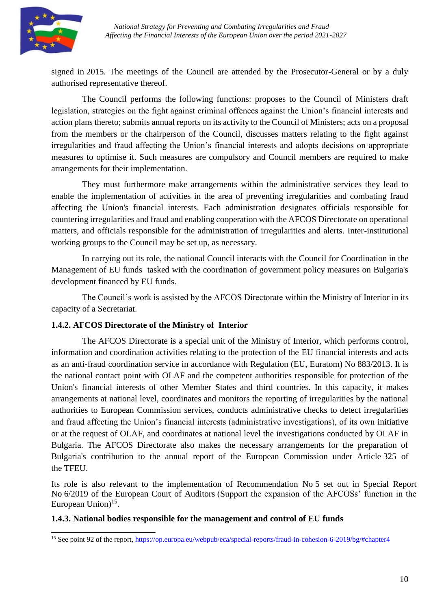

signed in 2015. The meetings of the Council are attended by the Prosecutor-General or by a duly authorised representative thereof.

The Council performs the following functions: proposes to the Council of Ministers draft legislation, strategies on the fight against criminal offences against the Union's financial interests and action plans thereto; submits annual reports on its activity to the Council of Ministers; acts on a proposal from the members or the chairperson of the Council, discusses matters relating to the fight against irregularities and fraud affecting the Union's financial interests and adopts decisions on appropriate measures to optimise it. Such measures are compulsory and Council members are required to make arrangements for their implementation.

They must furthermore make arrangements within the administrative services they lead to enable the implementation of activities in the area of preventing irregularities and combating fraud affecting the Union's financial interests. Each administration designates officials responsible for countering irregularities and fraud and enabling cooperation with the AFCOS Directorate on operational matters, and officials responsible for the administration of irregularities and alerts. Inter-institutional working groups to the Council may be set up, as necessary.

In carrying out its role, the national Council interacts with the Council for Coordination in the Management of EU funds tasked with the coordination of government policy measures on Bulgaria's development financed by EU funds.

The Council's work is assisted by the AFCOS Directorate within the Ministry of Interior in its capacity of a Secretariat.

## **1.4.2. AFCOS Directorate of the Ministry of Interior**

The AFCOS Directorate is a special unit of the Ministry of Interior, which performs control, information and coordination activities relating to the protection of the EU financial interests and acts as an anti-fraud coordination service in accordance with Regulation (EU, Euratom) No 883/2013. It is the national contact point with OLAF and the competent authorities responsible for protection of the Union's financial interests of other Member States and third countries. In this capacity, it makes arrangements at national level, coordinates and monitors the reporting of irregularities by the national authorities to European Commission services, conducts administrative checks to detect irregularities and fraud affecting the Union's financial interests (administrative investigations), of its own initiative or at the request of OLAF, and coordinates at national level the investigations conducted by OLAF in Bulgaria. The AFCOS Directorate also makes the necessary arrangements for the preparation of Bulgaria's contribution to the annual report of the European Commission under Article 325 of the TFEU.

Its role is also relevant to the implementation of Recommendation No 5 set out in Special Report No 6/2019 of the European Court of Auditors (Support the expansion of the AFCOSs' function in the European Union)<sup>15</sup>.

#### **1.4.3. National bodies responsible for the management and control of EU funds**

<sup>&</sup>lt;sup>15</sup> See point 92 of the report, [https://op.europa.eu/webpub/eca/special-reports/fraud-in-cohesion-6-2019/bg/#chapter4](https://op.europa.eu/webpub/eca/special-reports/fraud-in-cohesion-6-2019/bg/%23chapter4)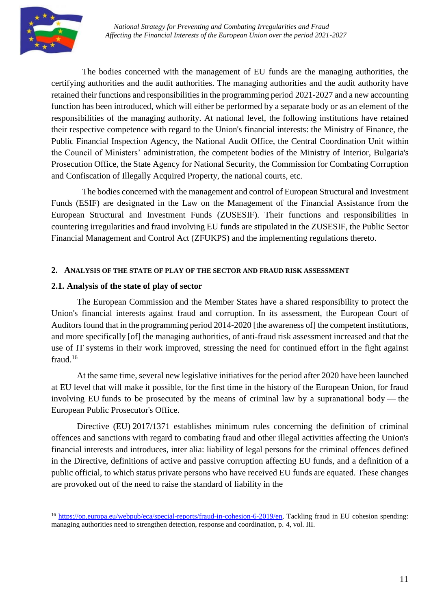

The bodies concerned with the management of EU funds are the managing authorities, the certifying authorities and the audit authorities. The managing authorities and the audit authority have retained their functions and responsibilities in the programming period 2021-2027 and a new accounting function has been introduced, which will either be performed by a separate body or as an element of the responsibilities of the managing authority. At national level, the following institutions have retained their respective competence with regard to the Union's financial interests: the Ministry of Finance, the Public Financial Inspection Agency, the National Audit Office, the Central Coordination Unit within the Council of Ministers' administration, the competent bodies of the Ministry of Interior, Bulgaria's Prosecution Office, the State Agency for National Security, the Commission for Combating Corruption and Confiscation of Illegally Acquired Property, the national courts, etc.

The bodies concerned with the management and control of European Structural and Investment Funds (ESIF) are designated in the Law on the Management of the Financial Assistance from the European Structural and Investment Funds (ZUSESIF). Their functions and responsibilities in countering irregularities and fraud involving EU funds are stipulated in the ZUSESIF, the Public Sector Financial Management and Control Act (ZFUKPS) and the implementing regulations thereto.

#### <span id="page-10-0"></span>**2. ANALYSIS OF THE STATE OF PLAY OF THE SECTOR AND FRAUD RISK ASSESSMENT**

#### <span id="page-10-1"></span>**2.1. Analysis of the state of play of sector**

The European Commission and the Member States have a shared responsibility to protect the Union's financial interests against fraud and corruption. In its assessment, the European Court of Auditors found that in the programming period 2014-2020 [the awareness of] the competent institutions, and more specifically [of] the managing authorities, of anti-fraud risk assessment increased and that the use of IT systems in their work improved, stressing the need for continued effort in the fight against fraud.<sup>16</sup>

At the same time, several new legislative initiatives for the period after 2020 have been launched at EU level that will make it possible, for the first time in the history of the European Union, for fraud involving EU funds to be prosecuted by the means of criminal law by a supranational body — the European Public Prosecutor's Office.

Directive (EU) 2017/1371 establishes minimum rules concerning the definition of criminal offences and sanctions with regard to combating fraud and other illegal activities affecting the Union's financial interests and introduces, inter alia: liability of legal persons for the criminal offences defined in the Directive, definitions of active and passive corruption affecting EU funds, and a definition of a public official, to which status private persons who have received EU funds are equated. These changes are provoked out of the need to raise the standard of liability in the

<sup>&</sup>lt;sup>16</sup> [https://op.europa.eu/webpub/eca/special-reports/fraud-in-cohesion-6-2019/en,](https://op.europa.eu/webpub/eca/special-reports/fraud-in-cohesion-6-2019/bg) Tackling fraud in EU cohesion spending: managing authorities need to strengthen detection, response and coordination, p. 4, vol. III.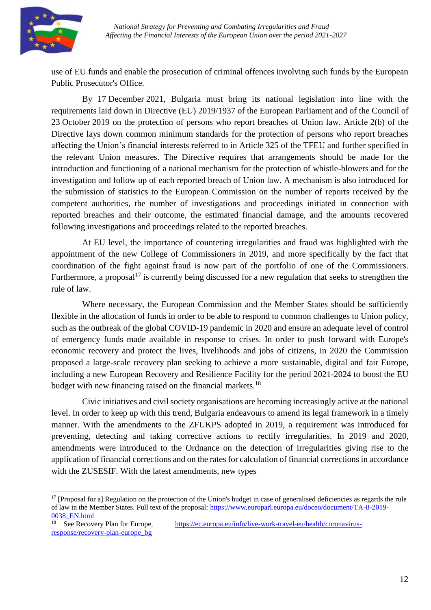

use of EU funds and enable the prosecution of criminal offences involving such funds by the European Public Prosecutor's Office.

By 17 December 2021, Bulgaria must bring its national legislation into line with the requirements laid down in Directive (EU) 2019/1937 of the European Parliament and of the Council of 23 October 2019 on the protection of persons who report breaches of Union law. Article 2(b) of the Directive lays down common minimum standards for the protection of persons who report breaches affecting the Union's financial interests referred to in Article 325 of the TFEU and further specified in the relevant Union measures. The Directive requires that arrangements should be made for the introduction and functioning of a national mechanism for the protection of whistle-blowers and for the investigation and follow up of each reported breach of Union law. A mechanism is also introduced for the submission of statistics to the European Commission on the number of reports received by the competent authorities, the number of investigations and proceedings initiated in connection with reported breaches and their outcome, the estimated financial damage, and the amounts recovered following investigations and proceedings related to the reported breaches.

At EU level, the importance of countering irregularities and fraud was highlighted with the appointment of the new College of Commissioners in 2019, and more specifically by the fact that coordination of the fight against fraud is now part of the portfolio of one of the Commissioners. Furthermore, a proposal<sup>17</sup> is currently being discussed for a new regulation that seeks to strengthen the rule of law.

Where necessary, the European Commission and the Member States should be sufficiently flexible in the allocation of funds in order to be able to respond to common challenges to Union policy, such as the outbreak of the global COVID-19 pandemic in 2020 and ensure an adequate level of control of emergency funds made available in response to crises. In order to push forward with Europe's economic recovery and protect the lives, livelihoods and jobs of citizens, in 2020 the Commission proposed a large-scale recovery plan seeking to achieve a more sustainable, digital and fair Europe, including a new European Recovery and Resilience Facility for the period 2021-2024 to boost the EU budget with new financing raised on the financial markets.<sup>18</sup>

Civic initiatives and civil society organisations are becoming increasingly active at the national level. In order to keep up with this trend, Bulgaria endeavours to amend its legal framework in a timely manner. With the amendments to the ZFUKPS adopted in 2019, a requirement was introduced for preventing, detecting and taking corrective actions to rectify irregularities. In 2019 and 2020, amendments were introduced to the Ordnance on the detection of irregularities giving rise to the application of financial corrections and on the rates for calculation of financial corrections in accordance with the ZUSESIF. With the latest amendments, new types

<sup>&</sup>lt;sup>17</sup> [Proposal for a] Regulation on the protection of the Union's budget in case of generalised deficiencies as regards the rule of law in the Member States. Full text of the proposal: [https://www.europarl.europa.eu/doceo/document/TA-8-2019-](https://www.europarl.europa.eu/doceo/document/TA-8-2019-0038_EN.html) [0038\\_EN.html](https://www.europarl.europa.eu/doceo/document/TA-8-2019-0038_EN.html)

<sup>18</sup> See Recovery Plan for Europe, [https://ec.europa.eu/info/live-work-travel-eu/health/coronavirus](https://ec.europa.eu/info/live-work-travel-eu/health/coronavirus-response/recovery-plan-europe_bg)[response/recovery-plan-europe\\_bg](https://ec.europa.eu/info/live-work-travel-eu/health/coronavirus-response/recovery-plan-europe_bg)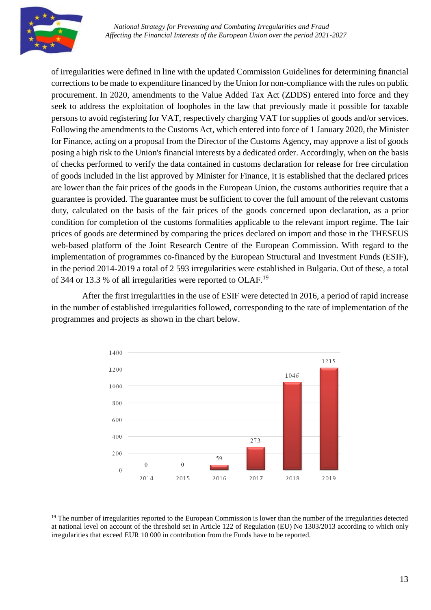

of irregularities were defined in line with the updated Commission Guidelines for determining financial corrections to be made to expenditure financed by the Union for non-compliance with the rules on public procurement. In 2020, amendments to the Value Added Tax Act (ZDDS) entered into force and they seek to address the exploitation of loopholes in the law that previously made it possible for taxable persons to avoid registering for VAT, respectively charging VAT for supplies of goods and/or services. Following the amendments to the Customs Act, which entered into force of 1 January 2020, the Minister for Finance, acting on a proposal from the Director of the Customs Agency, may approve a list of goods posing a high risk to the Union's financial interests by a dedicated order. Accordingly, when on the basis of checks performed to verify the data contained in customs declaration for release for free circulation of goods included in the list approved by Minister for Finance, it is established that the declared prices are lower than the fair prices of the goods in the European Union, the customs authorities require that a guarantee is provided. The guarantee must be sufficient to cover the full amount of the relevant customs duty, calculated on the basis of the fair prices of the goods concerned upon declaration, as a prior condition for completion of the customs formalities applicable to the relevant import regime. The fair prices of goods are determined by comparing the prices declared on import and those in the THESEUS web-based platform of the Joint Research Centre of the European Commission. With regard to the implementation of programmes co-financed by the European Structural and Investment Funds (ESIF), in the period 2014-2019 a total of 2 593 irregularities were established in Bulgaria. Out of these, a total of 344 or 13.3 % of all irregularities were reported to OLAF.<sup>19</sup>

After the first irregularities in the use of ESIF were detected in 2016, a period of rapid increase in the number of established irregularities followed, corresponding to the rate of implementation of the programmes and projects as shown in the chart below.



<sup>&</sup>lt;sup>19</sup> The number of irregularities reported to the European Commission is lower than the number of the irregularities detected at national level on account of the threshold set in Article 122 of Regulation (EU) No 1303/2013 according to which only irregularities that exceed EUR 10 000 in contribution from the Funds have to be reported.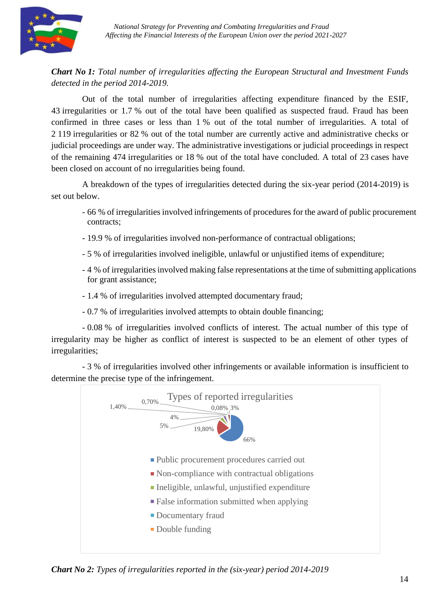

# *Chart No 1: Total number of irregularities affecting the European Structural and Investment Funds detected in the period 2014-2019.*

Out of the total number of irregularities affecting expenditure financed by the ESIF, 43 irregularities or 1.7 % out of the total have been qualified as suspected fraud. Fraud has been confirmed in three cases or less than 1 % out of the total number of irregularities. A total of 2 119 irregularities or 82 % out of the total number are currently active and administrative checks or judicial proceedings are under way. The administrative investigations or judicial proceedings in respect of the remaining 474 irregularities or 18 % out of the total have concluded. A total of 23 cases have been closed on account of no irregularities being found.

A breakdown of the types of irregularities detected during the six-year period (2014-2019) is set out below.

- 66 % of irregularities involved infringements of procedures for the award of public procurement contracts;
- 19.9 % of irregularities involved non-performance of contractual obligations;
- 5 % of irregularities involved ineligible, unlawful or unjustified items of expenditure;
- 4 % of irregularities involved making false representations at the time of submitting applications for grant assistance;
- 1.4 % of irregularities involved attempted documentary fraud;
- 0.7 % of irregularities involved attempts to obtain double financing;

- 0.08 % of irregularities involved conflicts of interest. The actual number of this type of irregularity may be higher as conflict of interest is suspected to be an element of other types of irregularities;

- 3 % of irregularities involved other infringements or available information is insufficient to determine the precise type of the infringement.



*Chart No 2: Types of irregularities reported in the (six-year) period 2014-2019*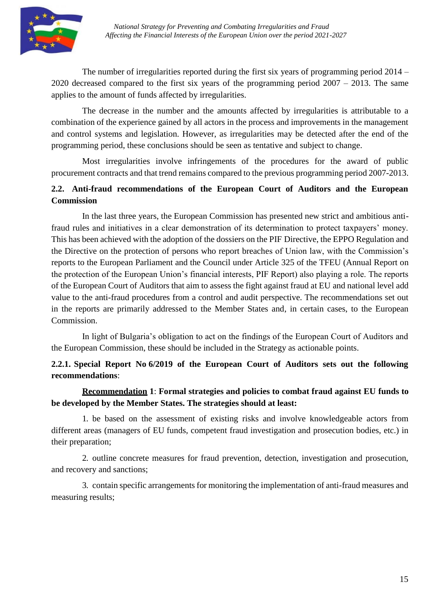

The number of irregularities reported during the first six years of programming period 2014 – 2020 decreased compared to the first six years of the programming period 2007 – 2013. The same applies to the amount of funds affected by irregularities.

The decrease in the number and the amounts affected by irregularities is attributable to a combination of the experience gained by all actors in the process and improvements in the management and control systems and legislation. However, as irregularities may be detected after the end of the programming period, these conclusions should be seen as tentative and subject to change.

Most irregularities involve infringements of the procedures for the award of public procurement contracts and that trend remains compared to the previous programming period 2007-2013.

# <span id="page-14-0"></span>**2.2. Anti-fraud recommendations of the European Court of Auditors and the European Commission**

In the last three years, the European Commission has presented new strict and ambitious antifraud rules and initiatives in a clear demonstration of its determination to protect taxpayers' money. This has been achieved with the adoption of the dossiers on the PIF Directive, the EPPO Regulation and the Directive on the protection of persons who report breaches of Union law, with the Commission's reports to the European Parliament and the Council under Article 325 of the TFEU (Annual Report on the protection of the European Union's financial interests, PIF Report) also playing a role. The reports of the European Court of Auditors that aim to assess the fight against fraud at EU and national level add value to the anti-fraud procedures from a control and audit perspective. The recommendations set out in the reports are primarily addressed to the Member States and, in certain cases, to the European Commission.

In light of Bulgaria's obligation to act on the findings of the European Court of Auditors and the European Commission, these should be included in the Strategy as actionable points.

# **2.2.1. Special Report No 6/2019 of the European Court of Auditors sets out the following recommendations**:

## **Recommendation 1**: **Formal strategies and policies to combat fraud against EU funds to be developed by the Member States. The strategies should at least:**

1. be based on the assessment of existing risks and involve knowledgeable actors from different areas (managers of EU funds, competent fraud investigation and prosecution bodies, etc.) in their preparation;

2. outline concrete measures for fraud prevention, detection, investigation and prosecution, and recovery and sanctions;

3. contain specific arrangements for monitoring the implementation of anti-fraud measures and measuring results;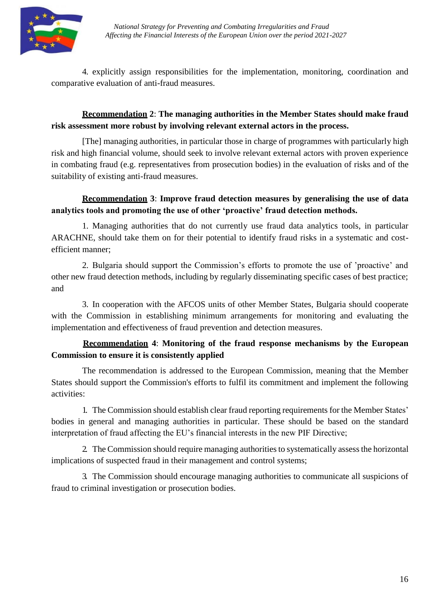

4. explicitly assign responsibilities for the implementation, monitoring, coordination and comparative evaluation of anti-fraud measures.

# **Recommendation 2**: **The managing authorities in the Member States should make fraud risk assessment more robust by involving relevant external actors in the process.**

[The] managing authorities, in particular those in charge of programmes with particularly high risk and high financial volume, should seek to involve relevant external actors with proven experience in combating fraud (e.g. representatives from prosecution bodies) in the evaluation of risks and of the suitability of existing anti-fraud measures.

# **Recommendation 3**: **Improve fraud detection measures by generalising the use of data analytics tools and promoting the use of other 'proactive' fraud detection methods.**

1. Managing authorities that do not currently use fraud data analytics tools, in particular ARACHNE, should take them on for their potential to identify fraud risks in a systematic and costefficient manner;

2. Bulgaria should support the Commission's efforts to promote the use of 'proactive' and other new fraud detection methods, including by regularly disseminating specific cases of best practice; and

3. In cooperation with the AFCOS units of other Member States, Bulgaria should cooperate with the Commission in establishing minimum arrangements for monitoring and evaluating the implementation and effectiveness of fraud prevention and detection measures.

# **Recommendation 4**: **Monitoring of the fraud response mechanisms by the European Commission to ensure it is consistently applied**

The recommendation is addressed to the European Commission, meaning that the Member States should support the Commission's efforts to fulfil its commitment and implement the following activities:

1. The Commission should establish clear fraud reporting requirements for the Member States' bodies in general and managing authorities in particular. These should be based on the standard interpretation of fraud affecting the EU's financial interests in the new PIF Directive;

2. The Commission should require managing authorities to systematically assess the horizontal implications of suspected fraud in their management and control systems;

3. The Commission should encourage managing authorities to communicate all suspicions of fraud to criminal investigation or prosecution bodies.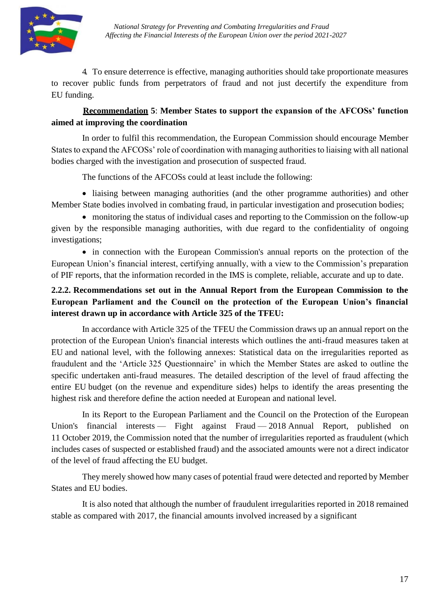

4. To ensure deterrence is effective, managing authorities should take proportionate measures to recover public funds from perpetrators of fraud and not just decertify the expenditure from EU funding.

# **Recommendation 5**: **Member States to support the expansion of the AFCOSs' function aimed at improving the coordination**

In order to fulfil this recommendation, the European Commission should encourage Member States to expand the AFCOSs' role of coordination with managing authorities to liaising with all national bodies charged with the investigation and prosecution of suspected fraud.

The functions of the AFCOSs could at least include the following:

 liaising between managing authorities (and the other programme authorities) and other Member State bodies involved in combating fraud, in particular investigation and prosecution bodies;

 monitoring the status of individual cases and reporting to the Commission on the follow-up given by the responsible managing authorities, with due regard to the confidentiality of ongoing investigations;

• in connection with the European Commission's annual reports on the protection of the European Union's financial interest, certifying annually, with a view to the Commission's preparation of PIF reports, that the information recorded in the IMS is complete, reliable, accurate and up to date.

# **2.2.2. Recommendations set out in the Annual Report from the European Commission to the European Parliament and the Council on the protection of the European Union's financial interest drawn up in accordance with Article 325 of the TFEU:**

In accordance with Article 325 of the TFEU the Commission draws up an annual report on the protection of the European Union's financial interests which outlines the anti-fraud measures taken at EU and national level, with the following annexes: Statistical data on the irregularities reported as fraudulent and the 'Article 325 Questionnaire' in which the Member States are asked to outline the specific undertaken anti-fraud measures. The detailed description of the level of fraud affecting the entire EU budget (on the revenue and expenditure sides) helps to identify the areas presenting the highest risk and therefore define the action needed at European and national level.

In its Report to the European Parliament and the Council on the Protection of the European Union's financial interests — Fight against Fraud — 2018 Annual Report, published on 11 October 2019, the Commission noted that the number of irregularities reported as fraudulent (which includes cases of suspected or established fraud) and the associated amounts were not a direct indicator of the level of fraud affecting the EU budget.

They merely showed how many cases of potential fraud were detected and reported by Member States and EU bodies.

It is also noted that although the number of fraudulent irregularities reported in 2018 remained stable as compared with 2017, the financial amounts involved increased by a significant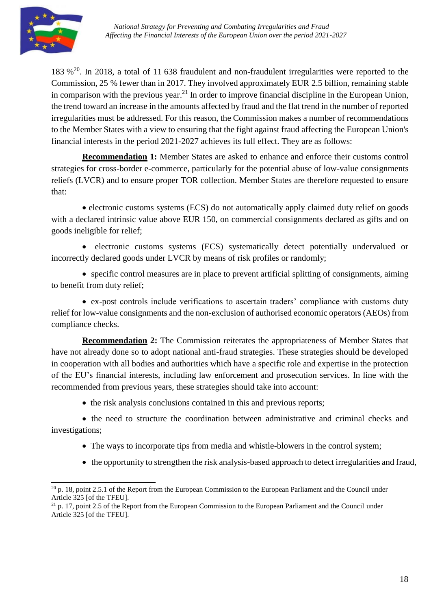183 %<sup>20</sup>. In 2018, a total of 11 638 fraudulent and non-fraudulent irregularities were reported to the Commission, 25 % fewer than in 2017. They involved approximately EUR 2.5 billion, remaining stable in comparison with the previous year.<sup>21</sup> In order to improve financial discipline in the European Union, the trend toward an increase in the amounts affected by fraud and the flat trend in the number of reported irregularities must be addressed. For this reason, the Commission makes a number of recommendations to the Member States with a view to ensuring that the fight against fraud affecting the European Union's financial interests in the period 2021-2027 achieves its full effect. They are as follows:

**Recommendation 1:** Member States are asked to enhance and enforce their customs control strategies for cross-border e-commerce, particularly for the potential abuse of low-value consignments reliefs (LVCR) and to ensure proper TOR collection. Member States are therefore requested to ensure that:

• electronic customs systems (ECS) do not automatically apply claimed duty relief on goods with a declared intrinsic value above EUR 150, on commercial consignments declared as gifts and on goods ineligible for relief;

 electronic customs systems (ECS) systematically detect potentially undervalued or incorrectly declared goods under LVCR by means of risk profiles or randomly;

 specific control measures are in place to prevent artificial splitting of consignments, aiming to benefit from duty relief;

 ex-post controls include verifications to ascertain traders' compliance with customs duty relief for low-value consignments and the non-exclusion of authorised economic operators (AEOs) from compliance checks.

**Recommendation 2:** The Commission reiterates the appropriateness of Member States that have not already done so to adopt national anti-fraud strategies. These strategies should be developed in cooperation with all bodies and authorities which have a specific role and expertise in the protection of the EU's financial interests, including law enforcement and prosecution services. In line with the recommended from previous years, these strategies should take into account:

• the risk analysis conclusions contained in this and previous reports;

• the need to structure the coordination between administrative and criminal checks and investigations;

- The ways to incorporate tips from media and whistle-blowers in the control system;
- the opportunity to strengthen the risk analysis-based approach to detect irregularities and fraud,

 $20$  p. 18, point 2.5.1 of the Report from the European Commission to the European Parliament and the Council under Article 325 [of the TFEU].

 $^{21}$  p. 17, point 2.5 of the Report from the European Commission to the European Parliament and the Council under Article 325 [of the TFEU].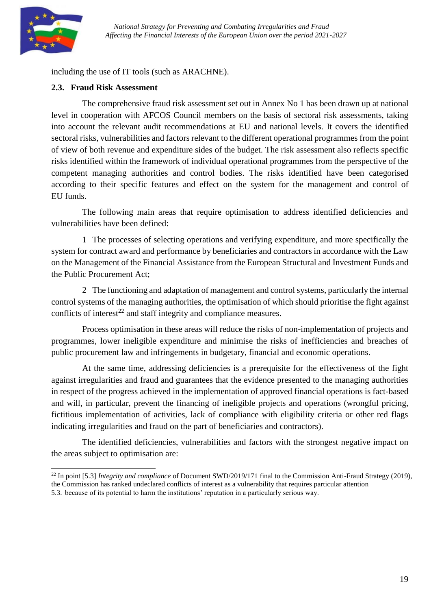

including the use of IT tools (such as ARACHNE).

#### <span id="page-18-0"></span>**2.3. Fraud Risk Assessment**

The comprehensive fraud risk assessment set out in Annex No 1 has been drawn up at national level in cooperation with AFCOS Council members on the basis of sectoral risk assessments, taking into account the relevant audit recommendations at EU and national levels. It covers the identified sectoral risks, vulnerabilities and factors relevant to the different operational programmes from the point of view of both revenue and expenditure sides of the budget. The risk assessment also reflects specific risks identified within the framework of individual operational programmes from the perspective of the competent managing authorities and control bodies. The risks identified have been categorised according to their specific features and effect on the system for the management and control of EU funds.

The following main areas that require optimisation to address identified deficiencies and vulnerabilities have been defined:

1. The processes of selecting operations and verifying expenditure, and more specifically the system for contract award and performance by beneficiaries and contractors in accordance with the Law on the Management of the Financial Assistance from the European Structural and Investment Funds and the Public Procurement Act;

2. The functioning and adaptation of management and control systems, particularly the internal control systems of the managing authorities, the optimisation of which should prioritise the fight against conflicts of interest<sup>22</sup> and staff integrity and compliance measures.

Process optimisation in these areas will reduce the risks of non-implementation of projects and programmes, lower ineligible expenditure and minimise the risks of inefficiencies and breaches of public procurement law and infringements in budgetary, financial and economic operations.

At the same time, addressing deficiencies is a prerequisite for the effectiveness of the fight against irregularities and fraud and guarantees that the evidence presented to the managing authorities in respect of the progress achieved in the implementation of approved financial operations is fact-based and will, in particular, prevent the financing of ineligible projects and operations (wrongful pricing, fictitious implementation of activities, lack of compliance with eligibility criteria or other red flags indicating irregularities and fraud on the part of beneficiaries and contractors).

The identified deficiencies, vulnerabilities and factors with the strongest negative impact on the areas subject to optimisation are:

<sup>22</sup> In point [5.3] *Integrity and compliance* of Document SWD/2019/171 final to the Commission Anti-Fraud Strategy (2019), the Commission has ranked undeclared conflicts of interest as a vulnerability that requires particular attention

<sup>5.3.</sup> because of its potential to harm the institutions' reputation in a particularly serious way.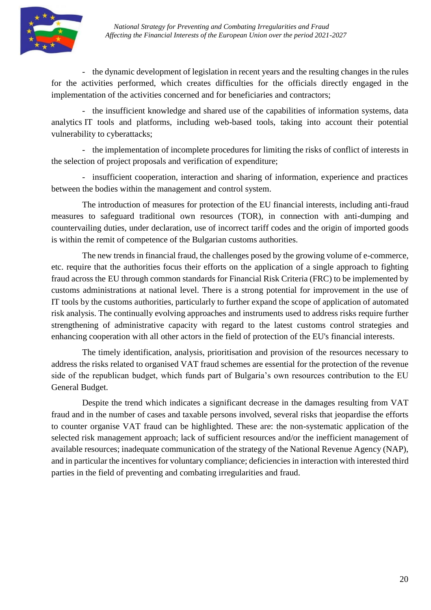

- the dynamic development of legislation in recent years and the resulting changes in the rules for the activities performed, which creates difficulties for the officials directly engaged in the implementation of the activities concerned and for beneficiaries and contractors;

- the insufficient knowledge and shared use of the capabilities of information systems, data analytics IT tools and platforms, including web-based tools, taking into account their potential vulnerability to cyberattacks;

- the implementation of incomplete procedures for limiting the risks of conflict of interests in the selection of project proposals and verification of expenditure;

- insufficient cooperation, interaction and sharing of information, experience and practices between the bodies within the management and control system.

The introduction of measures for protection of the EU financial interests, including anti-fraud measures to safeguard traditional own resources (TOR), in connection with anti-dumping and countervailing duties, under declaration, use of incorrect tariff codes and the origin of imported goods is within the remit of competence of the Bulgarian customs authorities.

The new trends in financial fraud, the challenges posed by the growing volume of e-commerce, etc. require that the authorities focus their efforts on the application of a single approach to fighting fraud across the EU through common standards for Financial Risk Criteria (FRC) to be implemented by customs administrations at national level. There is a strong potential for improvement in the use of IT tools by the customs authorities, particularly to further expand the scope of application of automated risk analysis. The continually evolving approaches and instruments used to address risks require further strengthening of administrative capacity with regard to the latest customs control strategies and enhancing cooperation with all other actors in the field of protection of the EU's financial interests.

The timely identification, analysis, prioritisation and provision of the resources necessary to address the risks related to organised VAT fraud schemes are essential for the protection of the revenue side of the republican budget, which funds part of Bulgaria's own resources contribution to the EU General Budget.

Despite the trend which indicates a significant decrease in the damages resulting from VAT fraud and in the number of cases and taxable persons involved, several risks that jeopardise the efforts to counter organise VAT fraud can be highlighted. These are: the non-systematic application of the selected risk management approach; lack of sufficient resources and/or the inefficient management of available resources; inadequate communication of the strategy of the National Revenue Agency (NAP), and in particular the incentives for voluntary compliance; deficiencies in interaction with interested third parties in the field of preventing and combating irregularities and fraud.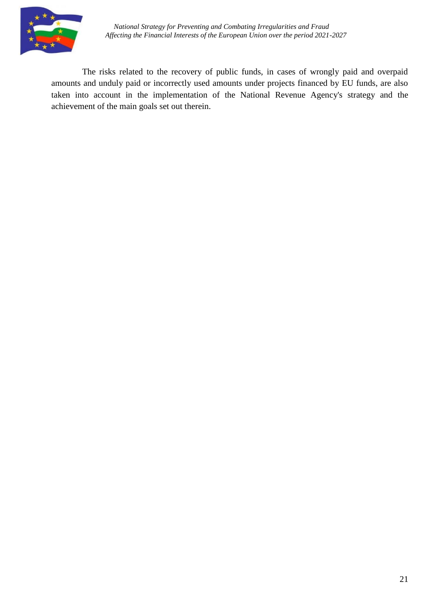

The risks related to the recovery of public funds, in cases of wrongly paid and overpaid amounts and unduly paid or incorrectly used amounts under projects financed by EU funds, are also taken into account in the implementation of the National Revenue Agency's strategy and the achievement of the main goals set out therein.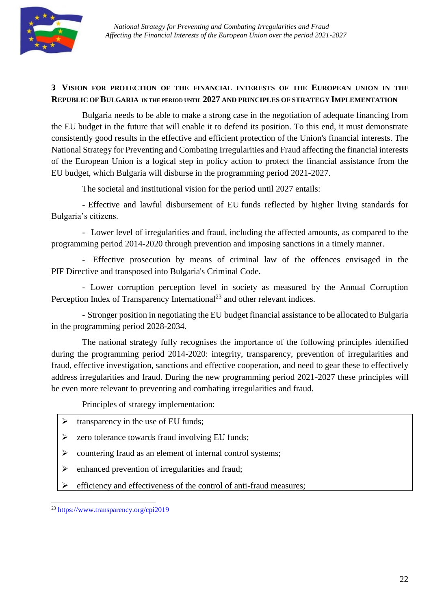

## <span id="page-21-0"></span>**3. VISION FOR PROTECTION OF THE FINANCIAL INTERESTS OF THE EUROPEAN UNION IN THE REPUBLIC OFBULGARIA IN THE PERIOD UNTIL 2027 AND PRINCIPLES OF STRATEGY IMPLEMENTATION**

Bulgaria needs to be able to make a strong case in the negotiation of adequate financing from the EU budget in the future that will enable it to defend its position. To this end, it must demonstrate consistently good results in the effective and efficient protection of the Union's financial interests. The National Strategy for Preventing and Combating Irregularities and Fraud affecting the financial interests of the European Union is a logical step in policy action to protect the financial assistance from the EU budget, which Bulgaria will disburse in the programming period 2021-2027.

The societal and institutional vision for the period until 2027 entails:

- Effective and lawful disbursement of EU funds reflected by higher living standards for Bulgaria's citizens.

- Lower level of irregularities and fraud, including the affected amounts, as compared to the programming period 2014-2020 through prevention and imposing sanctions in a timely manner.

- Effective prosecution by means of criminal law of the offences envisaged in the PIF Directive and transposed into Bulgaria's Criminal Code.

- Lower corruption perception level in society as measured by the Annual Corruption Perception Index of Transparency International<sup>23</sup> and other relevant indices.

- Stronger position in negotiating the EU budget financial assistance to be allocated to Bulgaria in the programming period 2028-2034.

The national strategy fully recognises the importance of the following principles identified during the programming period 2014-2020: integrity, transparency, prevention of irregularities and fraud, effective investigation, sanctions and effective cooperation, and need to gear these to effectively address irregularities and fraud. During the new programming period 2021-2027 these principles will be even more relevant to preventing and combating irregularities and fraud.

Principles of strategy implementation:

- $\triangleright$  transparency in the use of EU funds;
- $\triangleright$  zero tolerance towards fraud involving EU funds;
- $\triangleright$  countering fraud as an element of internal control systems;
- $\triangleright$  enhanced prevention of irregularities and fraud;
- $\triangleright$  efficiency and effectiveness of the control of anti-fraud measures;

<sup>23</sup> <https://www.transparency.org/cpi2019>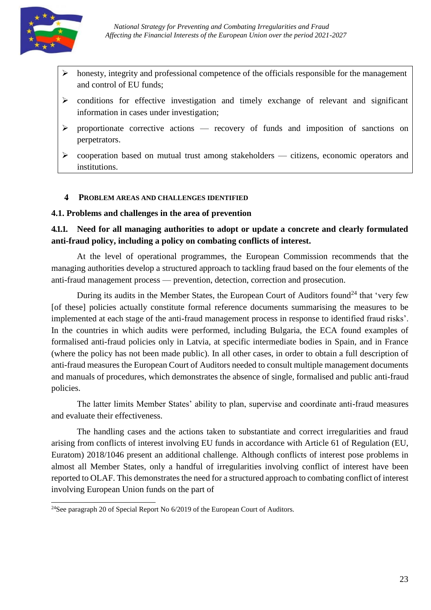

- honesty, integrity and professional competence of the officials responsible for the management and control of EU funds;
- conditions for effective investigation and timely exchange of relevant and significant information in cases under investigation;
- $\triangleright$  proportionate corrective actions recovery of funds and imposition of sanctions on perpetrators.
- $\triangleright$  cooperation based on mutual trust among stakeholders citizens, economic operators and institutions.

#### <span id="page-22-0"></span>**4. PROBLEM AREAS AND CHALLENGES IDENTIFIED**

#### <span id="page-22-1"></span>**4.1. Problems and challenges in the area of prevention**

## **4.1.1. Need for all managing authorities to adopt or update a concrete and clearly formulated anti-fraud policy, including a policy on combating conflicts of interest.**

At the level of operational programmes, the European Commission recommends that the managing authorities develop a structured approach to tackling fraud based on the four elements of the anti-fraud management process — prevention, detection, correction and prosecution.

During its audits in the Member States, the European Court of Auditors found<sup>24</sup> that 'very few [of these] policies actually constitute formal reference documents summarising the measures to be implemented at each stage of the anti-fraud management process in response to identified fraud risks'. In the countries in which audits were performed, including Bulgaria, the ECA found examples of formalised anti-fraud policies only in Latvia, at specific intermediate bodies in Spain, and in France (where the policy has not been made public). In all other cases, in order to obtain a full description of anti-fraud measures the European Court of Auditors needed to consult multiple management documents and manuals of procedures, which demonstrates the absence of single, formalised and public anti-fraud policies.

The latter limits Member States' ability to plan, supervise and coordinate anti-fraud measures and evaluate their effectiveness.

The handling cases and the actions taken to substantiate and correct irregularities and fraud arising from conflicts of interest involving EU funds in accordance with Article 61 of Regulation (EU, Euratom) 2018/1046 present an additional challenge. Although conflicts of interest pose problems in almost all Member States, only a handful of irregularities involving conflict of interest have been reported to OLAF. This demonstrates the need for a structured approach to combating conflict of interest involving European Union funds on the part of

<sup>&</sup>lt;sup>24</sup>See paragraph 20 of Special Report No 6/2019 of the European Court of Auditors.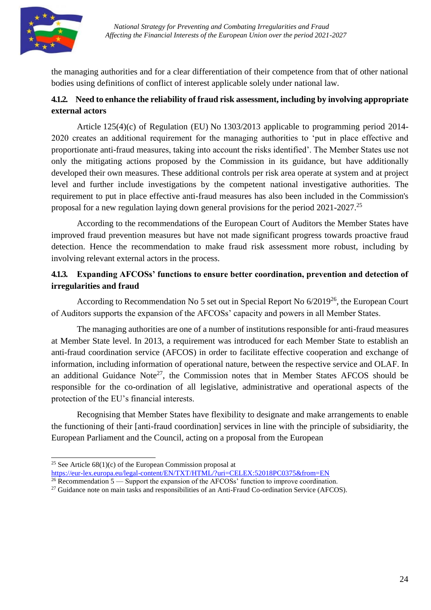

the managing authorities and for a clear differentiation of their competence from that of other national bodies using definitions of conflict of interest applicable solely under national law.

# **4.1.2. Need to enhance the reliability of fraud risk assessment, including by involving appropriate external actors**

Article 125(4)(c) of Regulation (EU) No 1303/2013 applicable to programming period 2014- 2020 creates an additional requirement for the managing authorities to 'put in place effective and proportionate anti-fraud measures, taking into account the risks identified'. The Member States use not only the mitigating actions proposed by the Commission in its guidance, but have additionally developed their own measures. These additional controls per risk area operate at system and at project level and further include investigations by the competent national investigative authorities. The requirement to put in place effective anti-fraud measures has also been included in the Commission's proposal for a new regulation laying down general provisions for the period 2021-2027.<sup>25</sup>

According to the recommendations of the European Court of Auditors the Member States have improved fraud prevention measures but have not made significant progress towards proactive fraud detection. Hence the recommendation to make fraud risk assessment more robust, including by involving relevant external actors in the process.

# **4.1.3. Expanding AFCOSs' functions to ensure better coordination, prevention and detection of irregularities and fraud**

According to Recommendation No 5 set out in Special Report No  $6/2019^{26}$ , the European Court of Auditors supports the expansion of the AFCOSs' capacity and powers in all Member States.

The managing authorities are one of a number of institutions responsible for anti-fraud measures at Member State level. In 2013, a requirement was introduced for each Member State to establish an anti-fraud coordination service (AFCOS) in order to facilitate effective cooperation and exchange of information, including information of operational nature, between the respective service and OLAF. In an additional Guidance Note<sup>27</sup>, the Commission notes that in Member States AFCOS should be responsible for the co-ordination of all legislative, administrative and operational aspects of the protection of the EU's financial interests.

Recognising that Member States have flexibility to designate and make arrangements to enable the functioning of their [anti-fraud coordination] services in line with the principle of subsidiarity, the European Parliament and the Council, acting on a proposal from the European

<sup>&</sup>lt;sup>25</sup> See Article  $68(1)(c)$  of the European Commission proposal at <https://eur-lex.europa.eu/legal-content/EN/TXT/HTML/?uri=CELEX:52018PC0375&from=EN>

 $26$  Recommendation 5 — Support the expansion of the AFCOSs' function to improve coordination.

<sup>&</sup>lt;sup>27</sup> Guidance note on main tasks and responsibilities of an Anti-Fraud Co-ordination Service (AFCOS).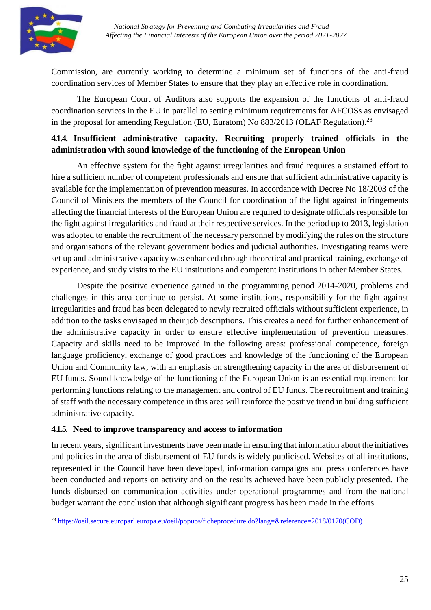

Commission, are currently working to determine a minimum set of functions of the anti-fraud coordination services of Member States to ensure that they play an effective role in coordination.

The European Court of Auditors also supports the expansion of the functions of anti-fraud coordination services in the EU in parallel to setting minimum requirements for AFCOSs as envisaged in the proposal for amending Regulation (EU, Euratom) No 883/2013 (OLAF Regulation).<sup>28</sup>

# **4.1.4. Insufficient administrative capacity. Recruiting properly trained officials in the administration with sound knowledge of the functioning of the European Union**

An effective system for the fight against irregularities and fraud requires a sustained effort to hire a sufficient number of competent professionals and ensure that sufficient administrative capacity is available for the implementation of prevention measures. In accordance with Decree No 18/2003 of the Council of Ministers the members of the Council for coordination of the fight against infringements affecting the financial interests of the European Union are required to designate officials responsible for the fight against irregularities and fraud at their respective services. In the period up to 2013, legislation was adopted to enable the recruitment of the necessary personnel by modifying the rules on the structure and organisations of the relevant government bodies and judicial authorities. Investigating teams were set up and administrative capacity was enhanced through theoretical and practical training, exchange of experience, and study visits to the EU institutions and competent institutions in other Member States.

Despite the positive experience gained in the programming period 2014-2020, problems and challenges in this area continue to persist. At some institutions, responsibility for the fight against irregularities and fraud has been delegated to newly recruited officials without sufficient experience, in addition to the tasks envisaged in their job descriptions. This creates a need for further enhancement of the administrative capacity in order to ensure effective implementation of prevention measures. Capacity and skills need to be improved in the following areas: professional competence, foreign language proficiency, exchange of good practices and knowledge of the functioning of the European Union and Community law, with an emphasis on strengthening capacity in the area of disbursement of EU funds. Sound knowledge of the functioning of the European Union is an essential requirement for performing functions relating to the management and control of EU funds. The recruitment and training of staff with the necessary competence in this area will reinforce the positive trend in building sufficient administrative capacity.

## **4.1.5. Need to improve transparency and access to information**

In recent years, significant investments have been made in ensuring that information about the initiatives and policies in the area of disbursement of EU funds is widely publicised. Websites of all institutions, represented in the Council have been developed, information campaigns and press conferences have been conducted and reports on activity and on the results achieved have been publicly presented. The funds disbursed on communication activities under operational programmes and from the national budget warrant the conclusion that although significant progress has been made in the efforts

<sup>28</sup> https://oeil.secure.europarl.europa.eu/oeil/popups/ficheprocedure.do?lang=&reference=2018/0170(COD)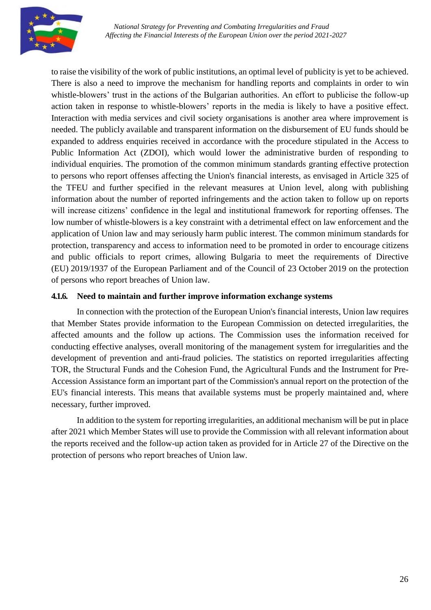

to raise the visibility of the work of public institutions, an optimal level of publicity is yet to be achieved. There is also a need to improve the mechanism for handling reports and complaints in order to win whistle-blowers' trust in the actions of the Bulgarian authorities. An effort to publicise the follow-up action taken in response to whistle-blowers' reports in the media is likely to have a positive effect. Interaction with media services and civil society organisations is another area where improvement is needed. The publicly available and transparent information on the disbursement of EU funds should be expanded to address enquiries received in accordance with the procedure stipulated in the Access to Public Information Act (ZDOI), which would lower the administrative burden of responding to individual enquiries. The promotion of the common minimum standards granting effective protection to persons who report offenses affecting the Union's financial interests, as envisaged in Article 325 of the TFEU and further specified in the relevant measures at Union level, along with publishing information about the number of reported infringements and the action taken to follow up on reports will increase citizens' confidence in the legal and institutional framework for reporting offenses. The low number of whistle-blowers is a key constraint with a detrimental effect on law enforcement and the application of Union law and may seriously harm public interest. The common minimum standards for protection, transparency and access to information need to be promoted in order to encourage citizens and public officials to report crimes, allowing Bulgaria to meet the requirements of Directive (EU) 2019/1937 of the European Parliament and of the Council of 23 October 2019 on the protection of persons who report breaches of Union law.

#### **4.1.6. Need to maintain and further improve information exchange systems**

In connection with the protection of the European Union's financial interests, Union law requires that Member States provide information to the European Commission on detected irregularities, the affected amounts and the follow up actions. The Commission uses the information received for conducting effective analyses, overall monitoring of the management system for irregularities and the development of prevention and anti-fraud policies. The statistics on reported irregularities affecting TOR, the Structural Funds and the Cohesion Fund, the Agricultural Funds and the Instrument for Pre-Accession Assistance form an important part of the Commission's annual report on the protection of the EU's financial interests. This means that available systems must be properly maintained and, where necessary, further improved.

In addition to the system for reporting irregularities, an additional mechanism will be put in place after 2021 which Member States will use to provide the Commission with all relevant information about the reports received and the follow-up action taken as provided for in Article 27 of the Directive on the protection of persons who report breaches of Union law.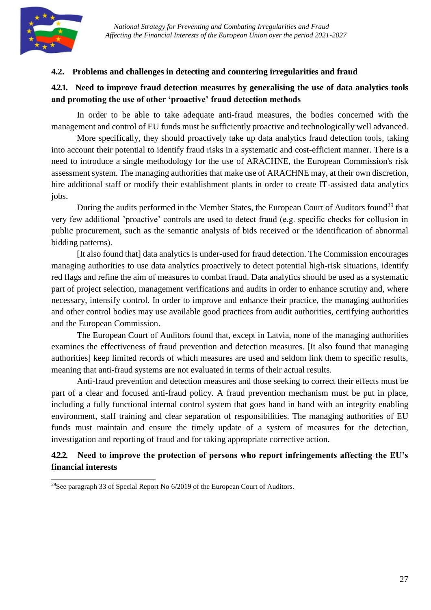

## <span id="page-26-0"></span>**4.2. Problems and challenges in detecting and countering irregularities and fraud**

## **4.2.1. Need to improve fraud detection measures by generalising the use of data analytics tools and promoting the use of other 'proactive' fraud detection methods**

In order to be able to take adequate anti-fraud measures, the bodies concerned with the management and control of EU funds must be sufficiently proactive and technologically well advanced.

More specifically, they should proactively take up data analytics fraud detection tools, taking into account their potential to identify fraud risks in a systematic and cost-efficient manner. There is a need to introduce a single methodology for the use of ARACHNE, the European Commission's risk assessment system. The managing authorities that make use of ARACHNE may, at their own discretion, hire additional staff or modify their establishment plants in order to create IT-assisted data analytics jobs.

During the audits performed in the Member States, the European Court of Auditors found<sup>29</sup> that very few additional 'proactive' controls are used to detect fraud (e.g. specific checks for collusion in public procurement, such as the semantic analysis of bids received or the identification of abnormal bidding patterns).

[It also found that] data analytics is under-used for fraud detection. The Commission encourages managing authorities to use data analytics proactively to detect potential high-risk situations, identify red flags and refine the aim of measures to combat fraud. Data analytics should be used as a systematic part of project selection, management verifications and audits in order to enhance scrutiny and, where necessary, intensify control. In order to improve and enhance their practice, the managing authorities and other control bodies may use available good practices from audit authorities, certifying authorities and the European Commission.

The European Court of Auditors found that, except in Latvia, none of the managing authorities examines the effectiveness of fraud prevention and detection measures. [It also found that managing authorities] keep limited records of which measures are used and seldom link them to specific results, meaning that anti-fraud systems are not evaluated in terms of their actual results.

Anti-fraud prevention and detection measures and those seeking to correct their effects must be part of a clear and focused anti-fraud policy. A fraud prevention mechanism must be put in place, including a fully functional internal control system that goes hand in hand with an integrity enabling environment, staff training and clear separation of responsibilities. The managing authorities of EU funds must maintain and ensure the timely update of a system of measures for the detection, investigation and reporting of fraud and for taking appropriate corrective action.

## **4.2.2. Need to improve the protection of persons who report infringements affecting the EU's financial interests**

<sup>29</sup>See paragraph 33 of Special Report No 6/2019 of the European Court of Auditors.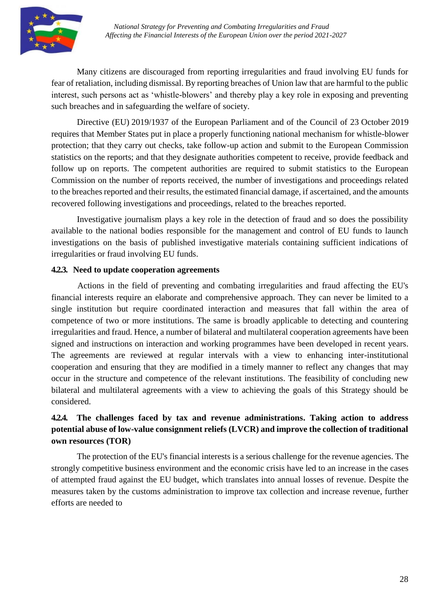

Many citizens are discouraged from reporting irregularities and fraud involving EU funds for fear of retaliation, including dismissal. By reporting breaches of Union law that are harmful to the public interest, such persons act as 'whistle-blowers' and thereby play a key role in exposing and preventing such breaches and in safeguarding the welfare of society.

Directive (EU) 2019/1937 of the European Parliament and of the Council of 23 October 2019 requires that Member States put in place a properly functioning national mechanism for whistle-blower protection; that they carry out checks, take follow-up action and submit to the European Commission statistics on the reports; and that they designate authorities competent to receive, provide feedback and follow up on reports. The competent authorities are required to submit statistics to the European Commission on the number of reports received, the number of investigations and proceedings related to the breaches reported and their results, the estimated financial damage, if ascertained, and the amounts recovered following investigations and proceedings, related to the breaches reported.

Investigative journalism plays a key role in the detection of fraud and so does the possibility available to the national bodies responsible for the management and control of EU funds to launch investigations on the basis of published investigative materials containing sufficient indications of irregularities or fraud involving EU funds.

#### **4.2.3. Need to update cooperation agreements**

Actions in the field of preventing and combating irregularities and fraud affecting the EU's financial interests require an elaborate and comprehensive approach. They can never be limited to a single institution but require coordinated interaction and measures that fall within the area of competence of two or more institutions. The same is broadly applicable to detecting and countering irregularities and fraud. Hence, a number of bilateral and multilateral cooperation agreements have been signed and instructions on interaction and working programmes have been developed in recent years. The agreements are reviewed at regular intervals with a view to enhancing inter-institutional cooperation and ensuring that they are modified in a timely manner to reflect any changes that may occur in the structure and competence of the relevant institutions. The feasibility of concluding new bilateral and multilateral agreements with a view to achieving the goals of this Strategy should be considered.

# **4.2.4. The challenges faced by tax and revenue administrations. Taking action to address potential abuse of low-value consignment reliefs (LVCR) and improve the collection of traditional own resources (TOR)**

The protection of the EU's financial interests is a serious challenge for the revenue agencies. The strongly competitive business environment and the economic crisis have led to an increase in the cases of attempted fraud against the EU budget, which translates into annual losses of revenue. Despite the measures taken by the customs administration to improve tax collection and increase revenue, further efforts are needed to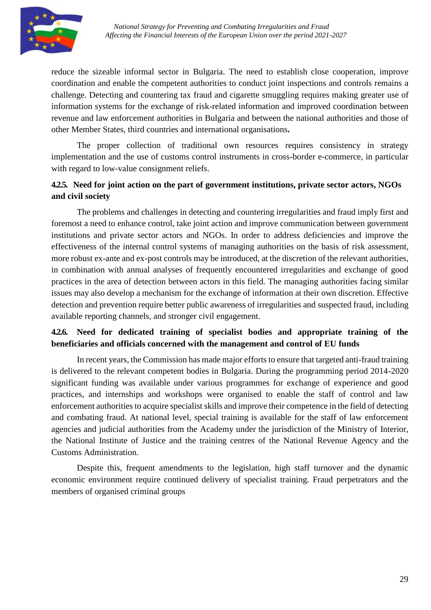

reduce the sizeable informal sector in Bulgaria. The need to establish close cooperation, improve coordination and enable the competent authorities to conduct joint inspections and controls remains a challenge. Detecting and countering tax fraud and cigarette smuggling requires making greater use of information systems for the exchange of risk-related information and improved coordination between revenue and law enforcement authorities in Bulgaria and between the national authorities and those of other Member States, third countries and international organisations**.**

The proper collection of traditional own resources requires consistency in strategy implementation and the use of customs control instruments in cross-border e-commerce, in particular with regard to low-value consignment reliefs.

# **4.2.5. Need for joint action on the part of government institutions, private sector actors, NGOs and civil society**

The problems and challenges in detecting and countering irregularities and fraud imply first and foremost a need to enhance control, take joint action and improve communication between government institutions and private sector actors and NGOs. In order to address deficiencies and improve the effectiveness of the internal control systems of managing authorities on the basis of risk assessment, more robust ex-ante and ex-post controls may be introduced, at the discretion of the relevant authorities, in combination with annual analyses of frequently encountered irregularities and exchange of good practices in the area of detection between actors in this field. The managing authorities facing similar issues may also develop a mechanism for the exchange of information at their own discretion. Effective detection and prevention require better public awareness of irregularities and suspected fraud, including available reporting channels, and stronger civil engagement.

## **4.2.6. Need for dedicated training of specialist bodies and appropriate training of the beneficiaries and officials concerned with the management and control of EU funds**

In recent years, the Commission has made major efforts to ensure that targeted anti-fraud training is delivered to the relevant competent bodies in Bulgaria. During the programming period 2014-2020 significant funding was available under various programmes for exchange of experience and good practices, and internships and workshops were organised to enable the staff of control and law enforcement authorities to acquire specialist skills and improve their competence in the field of detecting and combating fraud. At national level, special training is available for the staff of law enforcement agencies and judicial authorities from the Academy under the jurisdiction of the Ministry of Interior, the National Institute of Justice and the training centres of the National Revenue Agency and the Customs Administration.

Despite this, frequent amendments to the legislation, high staff turnover and the dynamic economic environment require continued delivery of specialist training. Fraud perpetrators and the members of organised criminal groups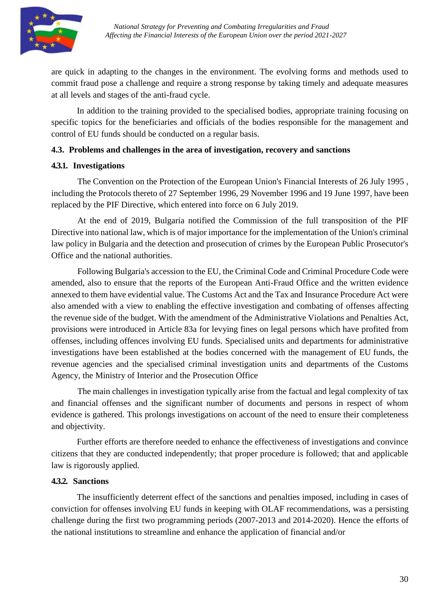

are quick in adapting to the changes in the environment. The evolving forms and methods used to commit fraud pose a challenge and require a strong response by taking timely and adequate measures at all levels and stages of the anti-fraud cycle.

In addition to the training provided to the specialised bodies, appropriate training focusing on specific topics for the beneficiaries and officials of the bodies responsible for the management and control of EU funds should be conducted on a regular basis.

#### <span id="page-29-0"></span>**4.3. Problems and challenges in the area of investigation, recovery and sanctions**

## **4.3.1. Investigations**

The Convention on the Protection of the European Union's Financial Interests of 26 July 1995 , including the Protocols thereto of 27 September 1996, 29 November 1996 and 19 June 1997, have been replaced by the PIF Directive, which entered into force on 6 July 2019.

At the end of 2019, Bulgaria notified the Commission of the full transposition of the PIF Directive into national law, which is of major importance for the implementation of the Union's criminal law policy in Bulgaria and the detection and prosecution of crimes by the European Public Prosecutor's Office and the national authorities.

Following Bulgaria's accession to the EU, the Criminal Code and Criminal Procedure Code were amended, also to ensure that the reports of the European Anti-Fraud Office and the written evidence annexed to them have evidential value. The Customs Act and the Tax and Insurance Procedure Act were also amended with a view to enabling the effective investigation and combating of offenses affecting the revenue side of the budget. With the amendment of the Administrative Violations and Penalties Act, provisions were introduced in Article 83a for levying fines on legal persons which have profited from offenses, including offences involving EU funds. Specialised units and departments for administrative investigations have been established at the bodies concerned with the management of EU funds, the revenue agencies and the specialised criminal investigation units and departments of the Customs Agency, the Ministry of Interior and the Prosecution Office

The main challenges in investigation typically arise from the factual and legal complexity of tax and financial offenses and the significant number of documents and persons in respect of whom evidence is gathered. This prolongs investigations on account of the need to ensure their completeness and objectivity.

Further efforts are therefore needed to enhance the effectiveness of investigations and convince citizens that they are conducted independently; that proper procedure is followed; that and applicable law is rigorously applied.

## **4.3.2. Sanctions**

The insufficiently deterrent effect of the sanctions and penalties imposed, including in cases of conviction for offenses involving EU funds in keeping with OLAF recommendations, was a persisting challenge during the first two programming periods (2007-2013 and 2014-2020). Hence the efforts of the national institutions to streamline and enhance the application of financial and/or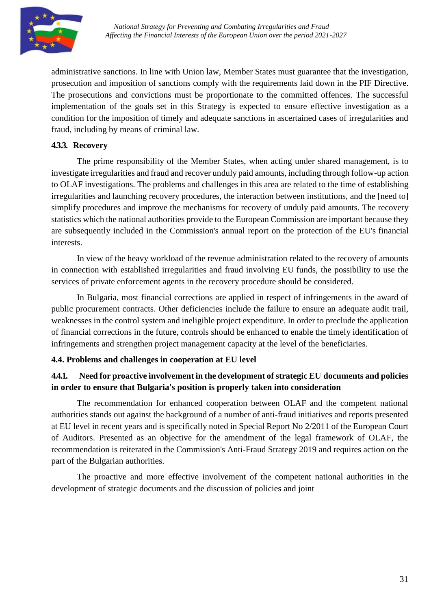

administrative sanctions. In line with Union law, Member States must guarantee that the investigation, prosecution and imposition of sanctions comply with the requirements laid down in the PIF Directive. The prosecutions and convictions must be proportionate to the committed offences. The successful implementation of the goals set in this Strategy is expected to ensure effective investigation as a condition for the imposition of timely and adequate sanctions in ascertained cases of irregularities and fraud, including by means of criminal law.

# **4.3.3. Recovery**

The prime responsibility of the Member States, when acting under shared management, is to investigate irregularities and fraud and recover unduly paid amounts, including through follow-up action to OLAF investigations. The problems and challenges in this area are related to the time of establishing irregularities and launching recovery procedures, the interaction between institutions, and the [need to] simplify procedures and improve the mechanisms for recovery of unduly paid amounts. The recovery statistics which the national authorities provide to the European Commission are important because they are subsequently included in the Commission's annual report on the protection of the EU's financial interests.

In view of the heavy workload of the revenue administration related to the recovery of amounts in connection with established irregularities and fraud involving EU funds, the possibility to use the services of private enforcement agents in the recovery procedure should be considered.

In Bulgaria, most financial corrections are applied in respect of infringements in the award of public procurement contracts. Other deficiencies include the failure to ensure an adequate audit trail, weaknesses in the control system and ineligible project expenditure. In order to preclude the application of financial corrections in the future, controls should be enhanced to enable the timely identification of infringements and strengthen project management capacity at the level of the beneficiaries.

#### <span id="page-30-0"></span>**4.4. Problems and challenges in cooperation at EU level**

# **4.4.1. Need for proactive involvement in the development of strategic EU documents and policies in order to ensure that Bulgaria's position is properly taken into consideration**

The recommendation for enhanced cooperation between OLAF and the competent national authorities stands out against the background of a number of anti-fraud initiatives and reports presented at EU level in recent years and is specifically noted in Special Report No 2/2011 of the European Court of Auditors. Presented as an objective for the amendment of the legal framework of OLAF, the recommendation is reiterated in the Commission's Anti-Fraud Strategy 2019 and requires action on the part of the Bulgarian authorities.

The proactive and more effective involvement of the competent national authorities in the development of strategic documents and the discussion of policies and joint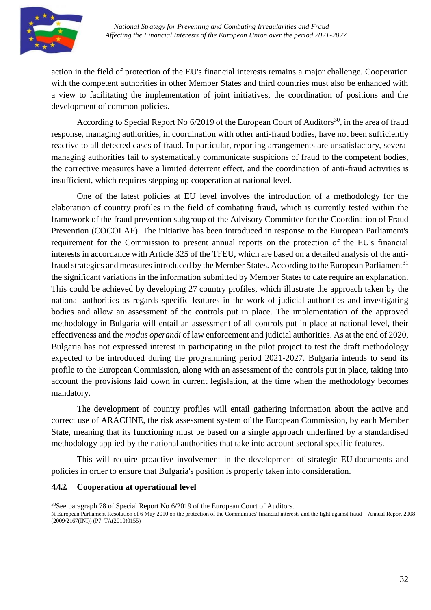

action in the field of protection of the EU's financial interests remains a major challenge. Cooperation with the competent authorities in other Member States and third countries must also be enhanced with a view to facilitating the implementation of joint initiatives, the coordination of positions and the development of common policies.

According to Special Report No  $6/2019$  of the European Court of Auditors<sup>30</sup>, in the area of fraud response, managing authorities, in coordination with other anti-fraud bodies, have not been sufficiently reactive to all detected cases of fraud. In particular, reporting arrangements are unsatisfactory, several managing authorities fail to systematically communicate suspicions of fraud to the competent bodies, the corrective measures have a limited deterrent effect, and the coordination of anti-fraud activities is insufficient, which requires stepping up cooperation at national level.

One of the latest policies at EU level involves the introduction of a methodology for the elaboration of country profiles in the field of combating fraud, which is currently tested within the framework of the fraud prevention subgroup of the Advisory Committee for the Coordination of Fraud Prevention (COCOLAF). The initiative has been introduced in response to the European Parliament's requirement for the Commission to present annual reports on the protection of the EU's financial interests in accordance with Article 325 of the TFEU, which are based on a detailed analysis of the antifraud strategies and measures introduced by the Member States. According to the European Parliament<sup>31</sup> the significant variations in the information submitted by Member States to date require an explanation. This could be achieved by developing 27 country profiles, which illustrate the approach taken by the national authorities as regards specific features in the work of judicial authorities and investigating bodies and allow an assessment of the controls put in place. The implementation of the approved methodology in Bulgaria will entail an assessment of all controls put in place at national level, their effectiveness and the *modus operandi* of law enforcement and judicial authorities. As at the end of 2020, Bulgaria has not expressed interest in participating in the pilot project to test the draft methodology expected to be introduced during the programming period 2021-2027. Bulgaria intends to send its profile to the European Commission, along with an assessment of the controls put in place, taking into account the provisions laid down in current legislation, at the time when the methodology becomes mandatory.

The development of country profiles will entail gathering information about the active and correct use of ARACHNE, the risk assessment system of the European Commission, by each Member State, meaning that its functioning must be based on a single approach underlined by a standardised methodology applied by the national authorities that take into account sectoral specific features.

This will require proactive involvement in the development of strategic EU documents and policies in order to ensure that Bulgaria's position is properly taken into consideration.

#### **4.4.2. Cooperation at operational level**

 $30$ See paragraph 78 of Special Report No  $6/2019$  of the European Court of Auditors. 31 European Parliament Resolution of 6 May 2010 on the protection of the Communities' financial interests and the fight against fraud – Annual Report 2008 (2009/2167(INI)) (P7\_TA(2010)0155)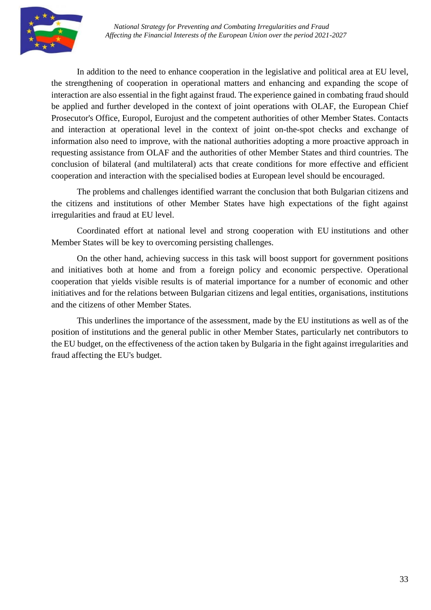

In addition to the need to enhance cooperation in the legislative and political area at EU level, the strengthening of cooperation in operational matters and enhancing and expanding the scope of interaction are also essential in the fight against fraud. The experience gained in combating fraud should be applied and further developed in the context of joint operations with OLAF, the European Chief Prosecutor's Office, Europol, Eurojust and the competent authorities of other Member States. Contacts and interaction at operational level in the context of joint on-the-spot checks and exchange of information also need to improve, with the national authorities adopting a more proactive approach in requesting assistance from OLAF and the authorities of other Member States and third countries. The conclusion of bilateral (and multilateral) acts that create conditions for more effective and efficient cooperation and interaction with the specialised bodies at European level should be encouraged.

The problems and challenges identified warrant the conclusion that both Bulgarian citizens and the citizens and institutions of other Member States have high expectations of the fight against irregularities and fraud at EU level.

Coordinated effort at national level and strong cooperation with EU institutions and other Member States will be key to overcoming persisting challenges.

On the other hand, achieving success in this task will boost support for government positions and initiatives both at home and from a foreign policy and economic perspective. Operational cooperation that yields visible results is of material importance for a number of economic and other initiatives and for the relations between Bulgarian citizens and legal entities, organisations, institutions and the citizens of other Member States.

This underlines the importance of the assessment, made by the EU institutions as well as of the position of institutions and the general public in other Member States, particularly net contributors to the EU budget, on the effectiveness of the action taken by Bulgaria in the fight against irregularities and fraud affecting the EU's budget.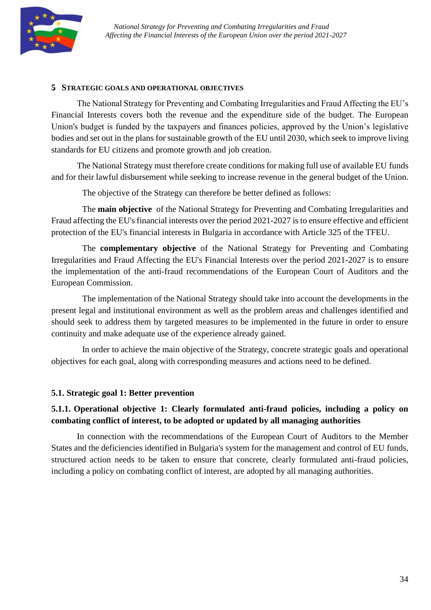

#### <span id="page-33-0"></span>**5. STRATEGIC GOALS AND OPERATIONAL OBJECTIVES**

The National Strategy for Preventing and Combating Irregularities and Fraud Affecting the EU's Financial Interests covers both the revenue and the expenditure side of the budget. The European Union's budget is funded by the taxpayers and finances policies, approved by the Union's legislative bodies and set out in the plans for sustainable growth of the EU until 2030, which seek to improve living standards for EU citizens and promote growth and job creation.

The National Strategy must therefore create conditions for making full use of available EU funds and for their lawful disbursement while seeking to increase revenue in the general budget of the Union.

The objective of the Strategy can therefore be better defined as follows:

The **main objective** of the National Strategy for Preventing and Combating Irregularities and Fraud affecting the EU's financial interests over the period 2021-2027 is to ensure effective and efficient protection of the EU's financial interests in Bulgaria in accordance with Article 325 of the TFEU.

The **complementary objective** of the National Strategy for Preventing and Combating Irregularities and Fraud Affecting the EU's Financial Interests over the period 2021-2027 is to ensure the implementation of the anti-fraud recommendations of the European Court of Auditors and the European Commission.

The implementation of the National Strategy should take into account the developments in the present legal and institutional environment as well as the problem areas and challenges identified and should seek to address them by targeted measures to be implemented in the future in order to ensure continuity and make adequate use of the experience already gained.

In order to achieve the main objective of the Strategy, concrete strategic goals and operational objectives for each goal, along with corresponding measures and actions need to be defined.

#### <span id="page-33-1"></span>**5.1. Strategic goal 1: Better prevention**

# **5.1.1. Operational objective 1: Clearly formulated anti-fraud policies, including a policy on combating conflict of interest, to be adopted or updated by all managing authorities**

In connection with the recommendations of the European Court of Auditors to the Member States and the deficiencies identified in Bulgaria's system for the management and control of EU funds, structured action needs to be taken to ensure that concrete, clearly formulated anti-fraud policies, including a policy on combating conflict of interest, are adopted by all managing authorities.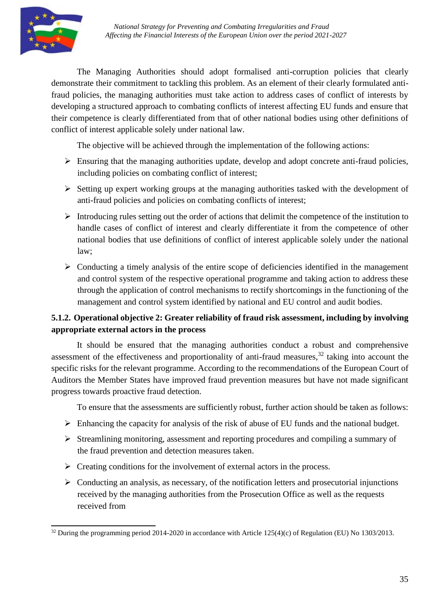The Managing Authorities should adopt formalised anti-corruption policies that clearly demonstrate their commitment to tackling this problem. As an element of their clearly formulated antifraud policies, the managing authorities must take action to address cases of conflict of interests by developing a structured approach to combating conflicts of interest affecting EU funds and ensure that their competence is clearly differentiated from that of other national bodies using other definitions of conflict of interest applicable solely under national law.

The objective will be achieved through the implementation of the following actions:

- $\triangleright$  Ensuring that the managing authorities update, develop and adopt concrete anti-fraud policies, including policies on combating conflict of interest;
- Setting up expert working groups at the managing authorities tasked with the development of anti-fraud policies and policies on combating conflicts of interest;
- $\triangleright$  Introducing rules setting out the order of actions that delimit the competence of the institution to handle cases of conflict of interest and clearly differentiate it from the competence of other national bodies that use definitions of conflict of interest applicable solely under the national law;
- $\triangleright$  Conducting a timely analysis of the entire scope of deficiencies identified in the management and control system of the respective operational programme and taking action to address these through the application of control mechanisms to rectify shortcomings in the functioning of the management and control system identified by national and EU control and audit bodies.

# **5.1.2. Operational objective 2: Greater reliability of fraud risk assessment, including by involving appropriate external actors in the process**

It should be ensured that the managing authorities conduct a robust and comprehensive assessment of the effectiveness and proportionality of anti-fraud measures, $32$  taking into account the specific risks for the relevant programme. According to the recommendations of the European Court of Auditors the Member States have improved fraud prevention measures but have not made significant progress towards proactive fraud detection.

To ensure that the assessments are sufficiently robust, further action should be taken as follows:

- $\triangleright$  Enhancing the capacity for analysis of the risk of abuse of EU funds and the national budget.
- $\triangleright$  Streamlining monitoring, assessment and reporting procedures and compiling a summary of the fraud prevention and detection measures taken.
- $\triangleright$  Creating conditions for the involvement of external actors in the process.
- $\triangleright$  Conducting an analysis, as necessary, of the notification letters and prosecutorial injunctions received by the managing authorities from the Prosecution Office as well as the requests received from

<sup>&</sup>lt;sup>32</sup> During the programming period 2014-2020 in accordance with Article 125(4)(c) of Regulation (EU) No 1303/2013.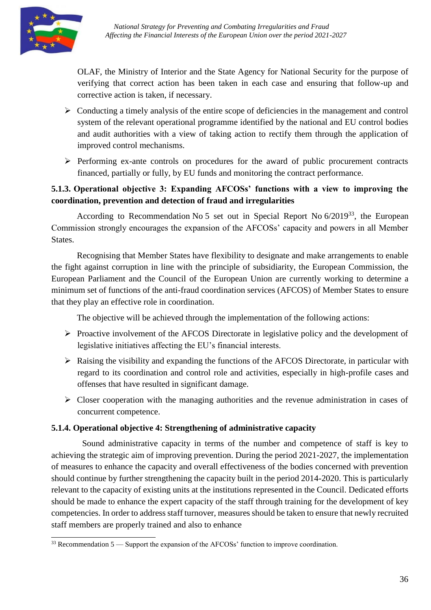

OLAF, the Ministry of Interior and the State Agency for National Security for the purpose of verifying that correct action has been taken in each case and ensuring that follow-up and corrective action is taken, if necessary.

- $\triangleright$  Conducting a timely analysis of the entire scope of deficiencies in the management and control system of the relevant operational programme identified by the national and EU control bodies and audit authorities with a view of taking action to rectify them through the application of improved control mechanisms.
- $\triangleright$  Performing ex-ante controls on procedures for the award of public procurement contracts financed, partially or fully, by EU funds and monitoring the contract performance.

# **5.1.3. Operational objective 3: Expanding AFCOSs' functions with a view to improving the coordination, prevention and detection of fraud and irregularities**

According to Recommendation No 5 set out in Special Report No 6/2019<sup>33</sup>, the European Commission strongly encourages the expansion of the AFCOSs' capacity and powers in all Member States.

Recognising that Member States have flexibility to designate and make arrangements to enable the fight against corruption in line with the principle of subsidiarity, the European Commission, the European Parliament and the Council of the European Union are currently working to determine a minimum set of functions of the anti-fraud coordination services (AFCOS) of Member States to ensure that they play an effective role in coordination.

The objective will be achieved through the implementation of the following actions:

- $\triangleright$  Proactive involvement of the AFCOS Directorate in legislative policy and the development of legislative initiatives affecting the EU's financial interests.
- $\triangleright$  Raising the visibility and expanding the functions of the AFCOS Directorate, in particular with regard to its coordination and control role and activities, especially in high-profile cases and offenses that have resulted in significant damage.
- $\triangleright$  Closer cooperation with the managing authorities and the revenue administration in cases of concurrent competence.

## **5.1.4. Operational objective 4: Strengthening of administrative capacity**

Sound administrative capacity in terms of the number and competence of staff is key to achieving the strategic aim of improving prevention. During the period 2021-2027, the implementation of measures to enhance the capacity and overall effectiveness of the bodies concerned with prevention should continue by further strengthening the capacity built in the period 2014-2020. This is particularly relevant to the capacity of existing units at the institutions represented in the Council. Dedicated efforts should be made to enhance the expert capacity of the staff through training for the development of key competencies. In order to address staff turnover, measures should be taken to ensure that newly recruited staff members are properly trained and also to enhance

 $33$  Recommendation 5 — Support the expansion of the AFCOSs' function to improve coordination.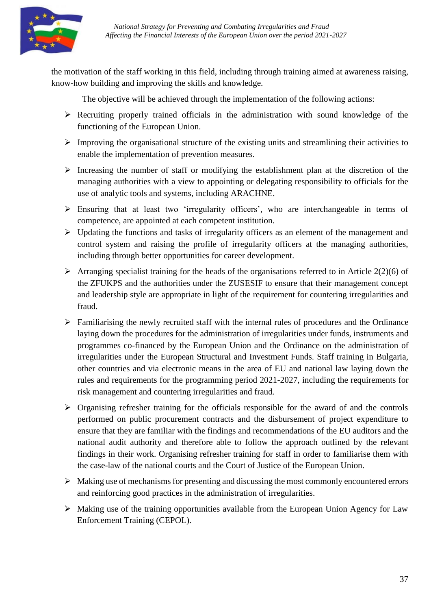

the motivation of the staff working in this field, including through training aimed at awareness raising, know-how building and improving the skills and knowledge.

The objective will be achieved through the implementation of the following actions:

- $\triangleright$  Recruiting properly trained officials in the administration with sound knowledge of the functioning of the European Union.
- $\triangleright$  Improving the organisational structure of the existing units and streamlining their activities to enable the implementation of prevention measures.
- $\triangleright$  Increasing the number of staff or modifying the establishment plan at the discretion of the managing authorities with a view to appointing or delegating responsibility to officials for the use of analytic tools and systems, including ARACHNE.
- $\triangleright$  Ensuring that at least two 'irregularity officers', who are interchangeable in terms of competence, are appointed at each competent institution.
- $\triangleright$  Updating the functions and tasks of irregularity officers as an element of the management and control system and raising the profile of irregularity officers at the managing authorities, including through better opportunities for career development.
- $\triangleright$  Arranging specialist training for the heads of the organisations referred to in Article 2(2)(6) of the ZFUKPS and the authorities under the ZUSESIF to ensure that their management concept and leadership style are appropriate in light of the requirement for countering irregularities and fraud.
- $\triangleright$  Familiarising the newly recruited staff with the internal rules of procedures and the Ordinance laying down the procedures for the administration of irregularities under funds, instruments and programmes co-financed by the European Union and the Ordinance on the administration of irregularities under the European Structural and Investment Funds. Staff training in Bulgaria, other countries and via electronic means in the area of EU and national law laying down the rules and requirements for the programming period 2021-2027, including the requirements for risk management and countering irregularities and fraud.
- $\triangleright$  Organising refresher training for the officials responsible for the award of and the controls performed on public procurement contracts and the disbursement of project expenditure to ensure that they are familiar with the findings and recommendations of the EU auditors and the national audit authority and therefore able to follow the approach outlined by the relevant findings in their work. Organising refresher training for staff in order to familiarise them with the case-law of the national courts and the Court of Justice of the European Union.
- $\triangleright$  Making use of mechanisms for presenting and discussing the most commonly encountered errors and reinforcing good practices in the administration of irregularities.
- $\triangleright$  Making use of the training opportunities available from the European Union Agency for Law Enforcement Training (CEPOL).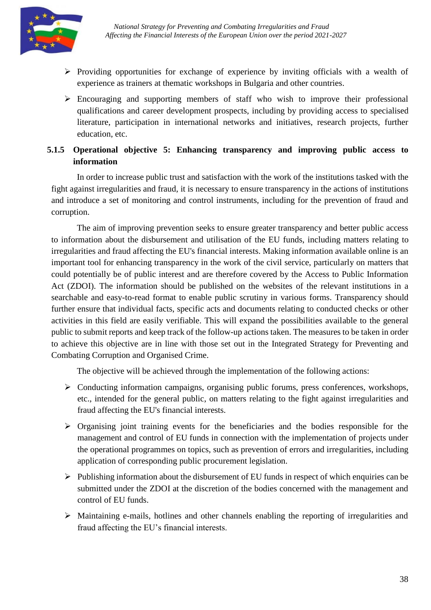

- $\triangleright$  Providing opportunities for exchange of experience by inviting officials with a wealth of experience as trainers at thematic workshops in Bulgaria and other countries.
- $\triangleright$  Encouraging and supporting members of staff who wish to improve their professional qualifications and career development prospects, including by providing access to specialised literature, participation in international networks and initiatives, research projects, further education, etc.

# **5.1.5 Operational objective 5: Enhancing transparency and improving public access to information**

In order to increase public trust and satisfaction with the work of the institutions tasked with the fight against irregularities and fraud, it is necessary to ensure transparency in the actions of institutions and introduce a set of monitoring and control instruments, including for the prevention of fraud and corruption.

The aim of improving prevention seeks to ensure greater transparency and better public access to information about the disbursement and utilisation of the EU funds, including matters relating to irregularities and fraud affecting the EU's financial interests. Making information available online is an important tool for enhancing transparency in the work of the civil service, particularly on matters that could potentially be of public interest and are therefore covered by the Access to Public Information Act (ZDOI). The information should be published on the websites of the relevant institutions in a searchable and easy-to-read format to enable public scrutiny in various forms. Transparency should further ensure that individual facts, specific acts and documents relating to conducted checks or other activities in this field are easily verifiable. This will expand the possibilities available to the general public to submit reports and keep track of the follow-up actions taken. The measures to be taken in order to achieve this objective are in line with those set out in the Integrated Strategy for Preventing and Combating Corruption and Organised Crime.

The objective will be achieved through the implementation of the following actions:

- $\triangleright$  Conducting information campaigns, organising public forums, press conferences, workshops, etc., intended for the general public, on matters relating to the fight against irregularities and fraud affecting the EU's financial interests.
- $\triangleright$  Organising joint training events for the beneficiaries and the bodies responsible for the management and control of EU funds in connection with the implementation of projects under the operational programmes on topics, such as prevention of errors and irregularities, including application of corresponding public procurement legislation.
- $\triangleright$  Publishing information about the disbursement of EU funds in respect of which enquiries can be submitted under the ZDOI at the discretion of the bodies concerned with the management and control of EU funds.
- $\triangleright$  Maintaining e-mails, hotlines and other channels enabling the reporting of irregularities and fraud affecting the EU's financial interests.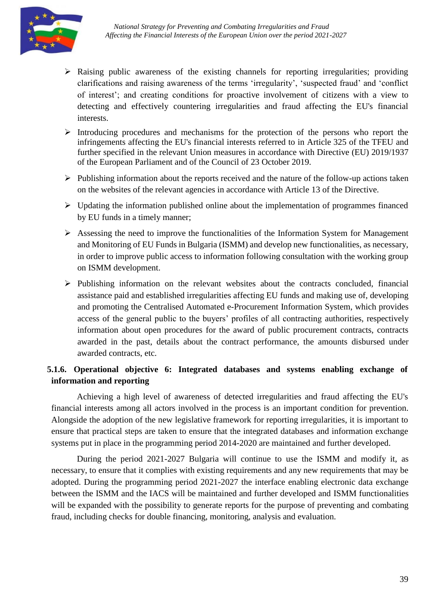

- $\triangleright$  Raising public awareness of the existing channels for reporting irregularities; providing clarifications and raising awareness of the terms 'irregularity', 'suspected fraud' and 'conflict of interest'; and creating conditions for proactive involvement of citizens with a view to detecting and effectively countering irregularities and fraud affecting the EU's financial interests.
- $\triangleright$  Introducing procedures and mechanisms for the protection of the persons who report the infringements affecting the EU's financial interests referred to in Article 325 of the TFEU and further specified in the relevant Union measures in accordance with Directive (EU) 2019/1937 of the European Parliament and of the Council of 23 October 2019.
- $\triangleright$  Publishing information about the reports received and the nature of the follow-up actions taken on the websites of the relevant agencies in accordance with Article 13 of the Directive.
- $\triangleright$  Updating the information published online about the implementation of programmes financed by EU funds in a timely manner;
- $\triangleright$  Assessing the need to improve the functionalities of the Information System for Management and Monitoring of EU Funds in Bulgaria (ISMM) and develop new functionalities, as necessary, in order to improve public access to information following consultation with the working group on ISMM development.
- $\triangleright$  Publishing information on the relevant websites about the contracts concluded, financial assistance paid and established irregularities affecting EU funds and making use of, developing and promoting the Centralised Automated e-Procurement Information System, which provides access of the general public to the buyers' profiles of all contracting authorities, respectively information about open procedures for the award of public procurement contracts, contracts awarded in the past, details about the contract performance, the amounts disbursed under awarded contracts, etc.

# **5.1.6. Operational objective 6: Integrated databases and systems enabling exchange of information and reporting**

Achieving a high level of awareness of detected irregularities and fraud affecting the EU's financial interests among all actors involved in the process is an important condition for prevention. Alongside the adoption of the new legislative framework for reporting irregularities, it is important to ensure that practical steps are taken to ensure that the integrated databases and information exchange systems put in place in the programming period 2014-2020 are maintained and further developed.

During the period 2021-2027 Bulgaria will continue to use the ISMM and modify it, as necessary, to ensure that it complies with existing requirements and any new requirements that may be adopted. During the programming period 2021-2027 the interface enabling electronic data exchange between the ISMM and the IACS will be maintained and further developed and ISMM functionalities will be expanded with the possibility to generate reports for the purpose of preventing and combating fraud, including checks for double financing, monitoring, analysis and evaluation.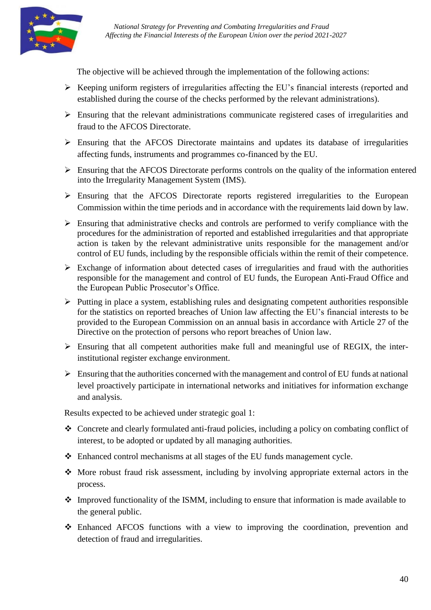

The objective will be achieved through the implementation of the following actions:

- $\triangleright$  Keeping uniform registers of irregularities affecting the EU's financial interests (reported and established during the course of the checks performed by the relevant administrations).
- $\triangleright$  Ensuring that the relevant administrations communicate registered cases of irregularities and fraud to the AFCOS Directorate.
- $\triangleright$  Ensuring that the AFCOS Directorate maintains and updates its database of irregularities affecting funds, instruments and programmes co-financed by the EU.
- $\triangleright$  Ensuring that the AFCOS Directorate performs controls on the quality of the information entered into the Irregularity Management System (IMS).
- $\triangleright$  Ensuring that the AFCOS Directorate reports registered irregularities to the European Commission within the time periods and in accordance with the requirements laid down by law.
- $\triangleright$  Ensuring that administrative checks and controls are performed to verify compliance with the procedures for the administration of reported and established irregularities and that appropriate action is taken by the relevant administrative units responsible for the management and/or control of EU funds, including by the responsible officials within the remit of their competence.
- $\triangleright$  Exchange of information about detected cases of irregularities and fraud with the authorities responsible for the management and control of EU funds, the European Anti-Fraud Office and the European Public Prosecutor's Office.
- $\triangleright$  Putting in place a system, establishing rules and designating competent authorities responsible for the statistics on reported breaches of Union law affecting the EU's financial interests to be provided to the European Commission on an annual basis in accordance with Article 27 of the Directive on the protection of persons who report breaches of Union law.
- $\triangleright$  Ensuring that all competent authorities make full and meaningful use of REGIX, the interinstitutional register exchange environment.
- $\triangleright$  Ensuring that the authorities concerned with the management and control of EU funds at national level proactively participate in international networks and initiatives for information exchange and analysis.

Results expected to be achieved under strategic goal 1:

- Concrete and clearly formulated anti-fraud policies, including a policy on combating conflict of interest, to be adopted or updated by all managing authorities.
- Enhanced control mechanisms at all stages of the EU funds management cycle.
- More robust fraud risk assessment, including by involving appropriate external actors in the process.
- Improved functionality of the ISMM, including to ensure that information is made available to the general public.
- Enhanced AFCOS functions with a view to improving the coordination, prevention and detection of fraud and irregularities.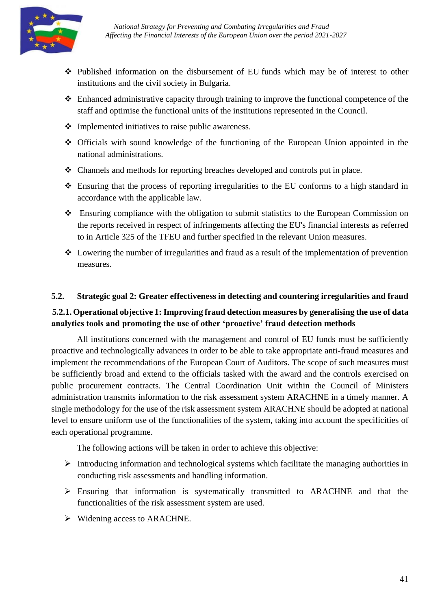

- Published information on the disbursement of EU funds which may be of interest to other institutions and the civil society in Bulgaria.
- Enhanced administrative capacity through training to improve the functional competence of the staff and optimise the functional units of the institutions represented in the Council.
- $\triangle$  Implemented initiatives to raise public awareness.
- Officials with sound knowledge of the functioning of the European Union appointed in the national administrations.
- Channels and methods for reporting breaches developed and controls put in place.
- Ensuring that the process of reporting irregularities to the EU conforms to a high standard in accordance with the applicable law.
- Ensuring compliance with the obligation to submit statistics to the European Commission on the reports received in respect of infringements affecting the EU's financial interests as referred to in Article 325 of the TFEU and further specified in the relevant Union measures.
- Lowering the number of irregularities and fraud as a result of the implementation of prevention measures.

#### <span id="page-40-0"></span>**5.2. Strategic goal 2: Greater effectiveness in detecting and countering irregularities and fraud**

#### **5.2.1. Operational objective 1: Improving fraud detection measures by generalising the use of data analytics tools and promoting the use of other 'proactive' fraud detection methods**

All institutions concerned with the management and control of EU funds must be sufficiently proactive and technologically advances in order to be able to take appropriate anti-fraud measures and implement the recommendations of the European Court of Auditors. The scope of such measures must be sufficiently broad and extend to the officials tasked with the award and the controls exercised on public procurement contracts. The Central Coordination Unit within the Council of Ministers administration transmits information to the risk assessment system ARACHNE in a timely manner. A single methodology for the use of the risk assessment system ARACHNE should be adopted at national level to ensure uniform use of the functionalities of the system, taking into account the specificities of each operational programme.

The following actions will be taken in order to achieve this objective:

- Introducing information and technological systems which facilitate the managing authorities in conducting risk assessments and handling information.
- Ensuring that information is systematically transmitted to ARACHNE and that the functionalities of the risk assessment system are used.
- $\triangleright$  Widening access to ARACHNE.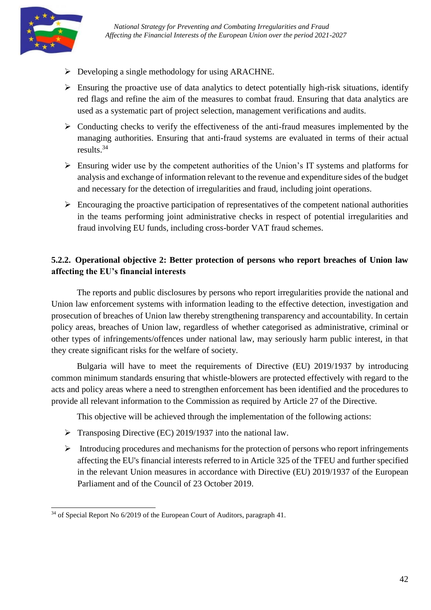

- $\triangleright$  Developing a single methodology for using ARACHNE.
- $\triangleright$  Ensuring the proactive use of data analytics to detect potentially high-risk situations, identify red flags and refine the aim of the measures to combat fraud. Ensuring that data analytics are used as a systematic part of project selection, management verifications and audits.
- $\triangleright$  Conducting checks to verify the effectiveness of the anti-fraud measures implemented by the managing authorities. Ensuring that anti-fraud systems are evaluated in terms of their actual results.<sup>34</sup>
- $\triangleright$  Ensuring wider use by the competent authorities of the Union's IT systems and platforms for analysis and exchange of information relevant to the revenue and expenditure sides of the budget and necessary for the detection of irregularities and fraud, including joint operations.
- $\triangleright$  Encouraging the proactive participation of representatives of the competent national authorities in the teams performing joint administrative checks in respect of potential irregularities and fraud involving EU funds, including cross-border VAT fraud schemes.

# **5.2.2. Operational objective 2: Better protection of persons who report breaches of Union law affecting the EU's financial interests**

The reports and public disclosures by persons who report irregularities provide the national and Union law enforcement systems with information leading to the effective detection, investigation and prosecution of breaches of Union law thereby strengthening transparency and accountability. In certain policy areas, breaches of Union law, regardless of whether categorised as administrative, criminal or other types of infringements/offences under national law, may seriously harm public interest, in that they create significant risks for the welfare of society.

Bulgaria will have to meet the requirements of Directive (EU) 2019/1937 by introducing common minimum standards ensuring that whistle-blowers are protected effectively with regard to the acts and policy areas where a need to strengthen enforcement has been identified and the procedures to provide all relevant information to the Commission as required by Article 27 of the Directive.

This objective will be achieved through the implementation of the following actions:

- $\triangleright$  Transposing Directive (EC) 2019/1937 into the national law.
- $\triangleright$  Introducing procedures and mechanisms for the protection of persons who report infringements affecting the EU's financial interests referred to in Article 325 of the TFEU and further specified in the relevant Union measures in accordance with Directive (EU) 2019/1937 of the European Parliament and of the Council of 23 October 2019.

 $34$  of Special Report No 6/2019 of the European Court of Auditors, paragraph 41.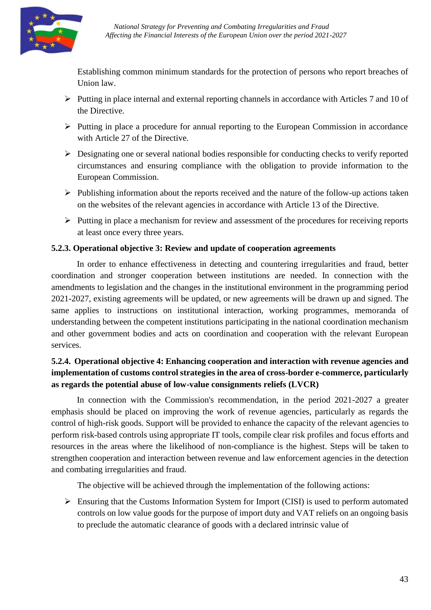

Establishing common minimum standards for the protection of persons who report breaches of Union law.

- $\triangleright$  Putting in place internal and external reporting channels in accordance with Articles 7 and 10 of the Directive.
- $\triangleright$  Putting in place a procedure for annual reporting to the European Commission in accordance with Article 27 of the Directive.
- $\triangleright$  Designating one or several national bodies responsible for conducting checks to verify reported circumstances and ensuring compliance with the obligation to provide information to the European Commission.
- $\triangleright$  Publishing information about the reports received and the nature of the follow-up actions taken on the websites of the relevant agencies in accordance with Article 13 of the Directive.
- $\triangleright$  Putting in place a mechanism for review and assessment of the procedures for receiving reports at least once every three years.

#### **5.2.3. Operational objective 3: Review and update of cooperation agreements**

In order to enhance effectiveness in detecting and countering irregularities and fraud, better coordination and stronger cooperation between institutions are needed. In connection with the amendments to legislation and the changes in the institutional environment in the programming period 2021-2027, existing agreements will be updated, or new agreements will be drawn up and signed. The same applies to instructions on institutional interaction, working programmes, memoranda of understanding between the competent institutions participating in the national coordination mechanism and other government bodies and acts on coordination and cooperation with the relevant European services.

# **5.2.4. Operational objective 4: Enhancing cooperation and interaction with revenue agencies and implementation of customs control strategies in the area of cross-border e-commerce, particularly as regards the potential abuse of low-value consignments reliefs (LVCR)**

In connection with the Commission's recommendation, in the period 2021-2027 a greater emphasis should be placed on improving the work of revenue agencies, particularly as regards the control of high-risk goods. Support will be provided to enhance the capacity of the relevant agencies to perform risk-based controls using appropriate IT tools, compile clear risk profiles and focus efforts and resources in the areas where the likelihood of non-compliance is the highest. Steps will be taken to strengthen cooperation and interaction between revenue and law enforcement agencies in the detection and combating irregularities and fraud.

The objective will be achieved through the implementation of the following actions:

 $\triangleright$  Ensuring that the Customs Information System for Import (CISI) is used to perform automated controls on low value goods for the purpose of import duty and VAT reliefs on an ongoing basis to preclude the automatic clearance of goods with a declared intrinsic value of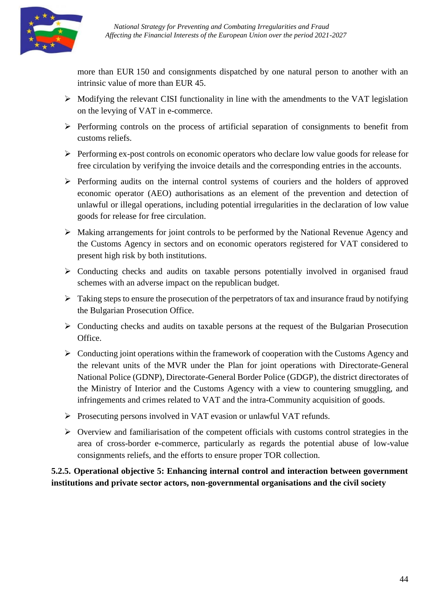

more than EUR 150 and consignments dispatched by one natural person to another with an intrinsic value of more than EUR 45.

- $\triangleright$  Modifying the relevant CISI functionality in line with the amendments to the VAT legislation on the levying of VAT in e-commerce.
- $\triangleright$  Performing controls on the process of artificial separation of consignments to benefit from customs reliefs.
- $\triangleright$  Performing ex-post controls on economic operators who declare low value goods for release for free circulation by verifying the invoice details and the corresponding entries in the accounts.
- $\triangleright$  Performing audits on the internal control systems of couriers and the holders of approved economic operator (AEO) authorisations as an element of the prevention and detection of unlawful or illegal operations, including potential irregularities in the declaration of low value goods for release for free circulation.
- Making arrangements for joint controls to be performed by the National Revenue Agency and the Customs Agency in sectors and on economic operators registered for VAT considered to present high risk by both institutions.
- $\triangleright$  Conducting checks and audits on taxable persons potentially involved in organised fraud schemes with an adverse impact on the republican budget.
- $\triangleright$  Taking steps to ensure the prosecution of the perpetrators of tax and insurance fraud by notifying the Bulgarian Prosecution Office.
- $\triangleright$  Conducting checks and audits on taxable persons at the request of the Bulgarian Prosecution Office.
- $\triangleright$  Conducting joint operations within the framework of cooperation with the Customs Agency and the relevant units of the MVR under the Plan for joint operations with Directorate-General National Police (GDNP), Directorate-General Border Police (GDGP), the district directorates of the Ministry of Interior and the Customs Agency with a view to countering smuggling, and infringements and crimes related to VAT and the intra-Community acquisition of goods.
- Prosecuting persons involved in VAT evasion or unlawful VAT refunds.
- $\triangleright$  Overview and familiarisation of the competent officials with customs control strategies in the area of cross-border e-commerce, particularly as regards the potential abuse of low-value consignments reliefs, and the efforts to ensure proper TOR collection.

**5.2.5. Operational objective 5: Enhancing internal control and interaction between government institutions and private sector actors, non-governmental organisations and the civil society**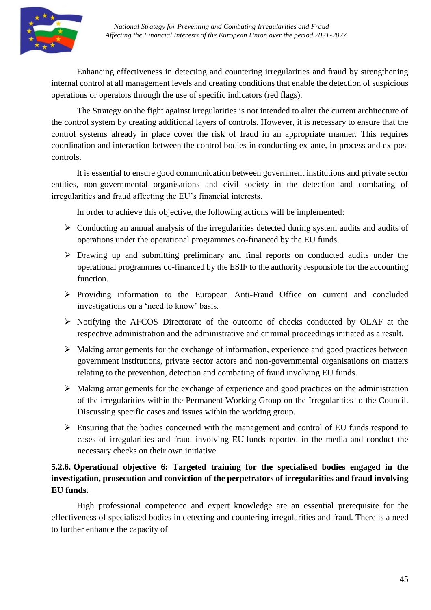

Enhancing effectiveness in detecting and countering irregularities and fraud by strengthening internal control at all management levels and creating conditions that enable the detection of suspicious operations or operators through the use of specific indicators (red flags).

The Strategy on the fight against irregularities is not intended to alter the current architecture of the control system by creating additional layers of controls. However, it is necessary to ensure that the control systems already in place cover the risk of fraud in an appropriate manner. This requires coordination and interaction between the control bodies in conducting ex-ante, in-process and ex-post controls.

It is essential to ensure good communication between government institutions and private sector entities, non-governmental organisations and civil society in the detection and combating of irregularities and fraud affecting the EU's financial interests.

In order to achieve this objective, the following actions will be implemented:

- $\triangleright$  Conducting an annual analysis of the irregularities detected during system audits and audits of operations under the operational programmes co-financed by the EU funds.
- $\triangleright$  Drawing up and submitting preliminary and final reports on conducted audits under the operational programmes co-financed by the ESIF to the authority responsible for the accounting function.
- $\triangleright$  Providing information to the European Anti-Fraud Office on current and concluded investigations on a 'need to know' basis.
- Notifying the AFCOS Directorate of the outcome of checks conducted by OLAF at the respective administration and the administrative and criminal proceedings initiated as a result.
- $\triangleright$  Making arrangements for the exchange of information, experience and good practices between government institutions, private sector actors and non-governmental organisations on matters relating to the prevention, detection and combating of fraud involving EU funds.
- $\triangleright$  Making arrangements for the exchange of experience and good practices on the administration of the irregularities within the Permanent Working Group on the Irregularities to the Council. Discussing specific cases and issues within the working group.
- $\triangleright$  Ensuring that the bodies concerned with the management and control of EU funds respond to cases of irregularities and fraud involving EU funds reported in the media and conduct the necessary checks on their own initiative.

# **5.2.6. Operational objective 6: Targeted training for the specialised bodies engaged in the investigation, prosecution and conviction of the perpetrators of irregularities and fraud involving EU funds.**

High professional competence and expert knowledge are an essential prerequisite for the effectiveness of specialised bodies in detecting and countering irregularities and fraud. There is a need to further enhance the capacity of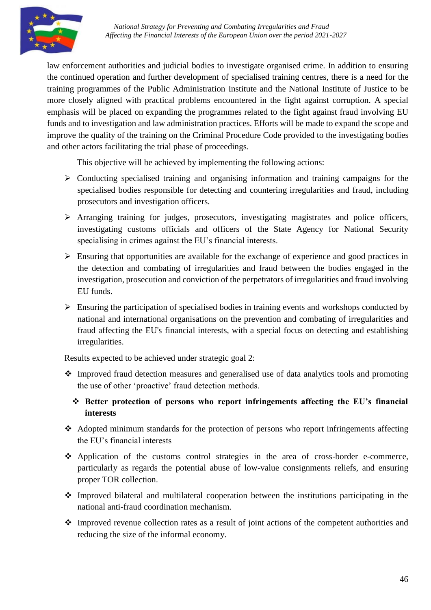

law enforcement authorities and judicial bodies to investigate organised crime. In addition to ensuring the continued operation and further development of specialised training centres, there is a need for the training programmes of the Public Administration Institute and the National Institute of Justice to be more closely aligned with practical problems encountered in the fight against corruption. A special emphasis will be placed on expanding the programmes related to the fight against fraud involving EU funds and to investigation and law administration practices. Efforts will be made to expand the scope and improve the quality of the training on the Criminal Procedure Code provided to the investigating bodies and other actors facilitating the trial phase of proceedings.

This objective will be achieved by implementing the following actions:

- $\triangleright$  Conducting specialised training and organising information and training campaigns for the specialised bodies responsible for detecting and countering irregularities and fraud, including prosecutors and investigation officers.
- Arranging training for judges, prosecutors, investigating magistrates and police officers, investigating customs officials and officers of the State Agency for National Security specialising in crimes against the EU's financial interests.
- $\triangleright$  Ensuring that opportunities are available for the exchange of experience and good practices in the detection and combating of irregularities and fraud between the bodies engaged in the investigation, prosecution and conviction of the perpetrators of irregularities and fraud involving EU funds.
- $\triangleright$  Ensuring the participation of specialised bodies in training events and workshops conducted by national and international organisations on the prevention and combating of irregularities and fraud affecting the EU's financial interests, with a special focus on detecting and establishing irregularities.

Results expected to be achieved under strategic goal 2:

- Improved fraud detection measures and generalised use of data analytics tools and promoting the use of other 'proactive' fraud detection methods.
	- **Better protection of persons who report infringements affecting the EU's financial interests**
- Adopted minimum standards for the protection of persons who report infringements affecting the EU's financial interests
- Application of the customs control strategies in the area of cross-border e-commerce, particularly as regards the potential abuse of low-value consignments reliefs, and ensuring proper TOR collection.
- $\cdot$  Improved bilateral and multilateral cooperation between the institutions participating in the national anti-fraud coordination mechanism.
- Improved revenue collection rates as a result of joint actions of the competent authorities and reducing the size of the informal economy.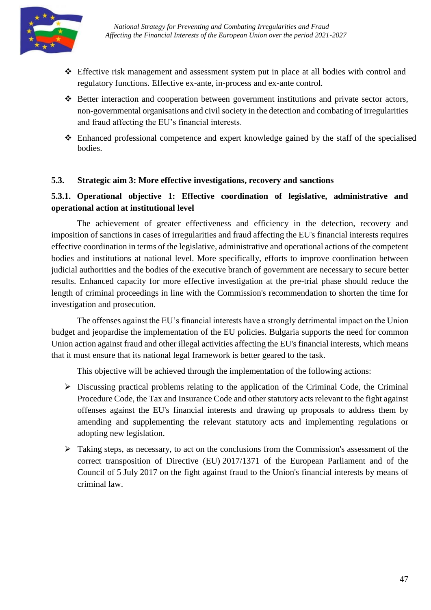

- Effective risk management and assessment system put in place at all bodies with control and regulatory functions. Effective ex-ante, in-process and ex-ante control.
- Better interaction and cooperation between government institutions and private sector actors, non-governmental organisations and civil society in the detection and combating of irregularities and fraud affecting the EU's financial interests.
- Enhanced professional competence and expert knowledge gained by the staff of the specialised bodies.

## <span id="page-46-0"></span>**5.3. Strategic aim 3: More effective investigations, recovery and sanctions**

# **5.3.1. Operational objective 1: Effective coordination of legislative, administrative and operational action at institutional level**

The achievement of greater effectiveness and efficiency in the detection, recovery and imposition of sanctions in cases of irregularities and fraud affecting the EU's financial interests requires effective coordination in terms of the legislative, administrative and operational actions of the competent bodies and institutions at national level. More specifically, efforts to improve coordination between judicial authorities and the bodies of the executive branch of government are necessary to secure better results. Enhanced capacity for more effective investigation at the pre-trial phase should reduce the length of criminal proceedings in line with the Commission's recommendation to shorten the time for investigation and prosecution.

The offenses against the EU's financial interests have a strongly detrimental impact on the Union budget and jeopardise the implementation of the EU policies. Bulgaria supports the need for common Union action against fraud and other illegal activities affecting the EU's financial interests, which means that it must ensure that its national legal framework is better geared to the task.

This objective will be achieved through the implementation of the following actions:

- $\triangleright$  Discussing practical problems relating to the application of the Criminal Code, the Criminal Procedure Code, the Tax and Insurance Code and other statutory acts relevant to the fight against offenses against the EU's financial interests and drawing up proposals to address them by amending and supplementing the relevant statutory acts and implementing regulations or adopting new legislation.
- $\triangleright$  Taking steps, as necessary, to act on the conclusions from the Commission's assessment of the correct transposition of Directive (EU) 2017/1371 of the European Parliament and of the Council of 5 July 2017 on the fight against fraud to the Union's financial interests by means of criminal law.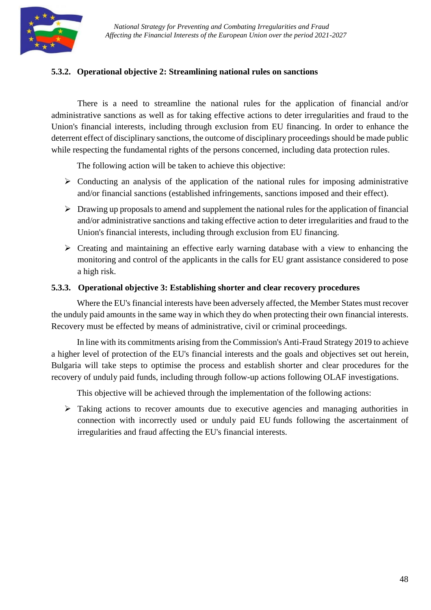

# **5.3.2. Operational objective 2: Streamlining national rules on sanctions**

There is a need to streamline the national rules for the application of financial and/or administrative sanctions as well as for taking effective actions to deter irregularities and fraud to the Union's financial interests, including through exclusion from EU financing. In order to enhance the deterrent effect of disciplinary sanctions, the outcome of disciplinary proceedings should be made public while respecting the fundamental rights of the persons concerned, including data protection rules.

The following action will be taken to achieve this objective:

- $\triangleright$  Conducting an analysis of the application of the national rules for imposing administrative and/or financial sanctions (established infringements, sanctions imposed and their effect).
- $\triangleright$  Drawing up proposals to amend and supplement the national rules for the application of financial and/or administrative sanctions and taking effective action to deter irregularities and fraud to the Union's financial interests, including through exclusion from EU financing.
- $\triangleright$  Creating and maintaining an effective early warning database with a view to enhancing the monitoring and control of the applicants in the calls for EU grant assistance considered to pose a high risk.

## **5.3.3. Operational objective 3: Establishing shorter and clear recovery procedures**

Where the EU's financial interests have been adversely affected, the Member States must recover the unduly paid amounts in the same way in which they do when protecting their own financial interests. Recovery must be effected by means of administrative, civil or criminal proceedings.

In line with its commitments arising from the Commission's Anti-Fraud Strategy 2019 to achieve a higher level of protection of the EU's financial interests and the goals and objectives set out herein, Bulgaria will take steps to optimise the process and establish shorter and clear procedures for the recovery of unduly paid funds, including through follow-up actions following OLAF investigations.

This objective will be achieved through the implementation of the following actions:

 Taking actions to recover amounts due to executive agencies and managing authorities in connection with incorrectly used or unduly paid EU funds following the ascertainment of irregularities and fraud affecting the EU's financial interests.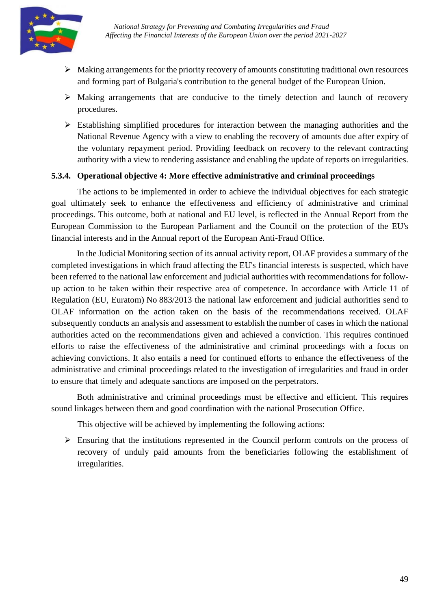

- $\triangleright$  Making arrangements for the priority recovery of amounts constituting traditional own resources and forming part of Bulgaria's contribution to the general budget of the European Union.
- $\triangleright$  Making arrangements that are conducive to the timely detection and launch of recovery procedures.
- $\triangleright$  Establishing simplified procedures for interaction between the managing authorities and the National Revenue Agency with a view to enabling the recovery of amounts due after expiry of the voluntary repayment period. Providing feedback on recovery to the relevant contracting authority with a view to rendering assistance and enabling the update of reports on irregularities.

#### **5.3.4. Operational objective 4: More effective administrative and criminal proceedings**

The actions to be implemented in order to achieve the individual objectives for each strategic goal ultimately seek to enhance the effectiveness and efficiency of administrative and criminal proceedings. This outcome, both at national and EU level, is reflected in the Annual Report from the European Commission to the European Parliament and the Council on the protection of the EU's financial interests and in the Annual report of the European Anti-Fraud Office.

In the Judicial Monitoring section of its annual activity report, OLAF provides a summary of the completed investigations in which fraud affecting the EU's financial interests is suspected, which have been referred to the national law enforcement and judicial authorities with recommendations for followup action to be taken within their respective area of competence. In accordance with Article 11 of Regulation (EU, Euratom) No 883/2013 the national law enforcement and judicial authorities send to OLAF information on the action taken on the basis of the recommendations received. OLAF subsequently conducts an analysis and assessment to establish the number of cases in which the national authorities acted on the recommendations given and achieved a conviction. This requires continued efforts to raise the effectiveness of the administrative and criminal proceedings with a focus on achieving convictions. It also entails a need for continued efforts to enhance the effectiveness of the administrative and criminal proceedings related to the investigation of irregularities and fraud in order to ensure that timely and adequate sanctions are imposed on the perpetrators.

Both administrative and criminal proceedings must be effective and efficient. This requires sound linkages between them and good coordination with the national Prosecution Office.

This objective will be achieved by implementing the following actions:

 $\triangleright$  Ensuring that the institutions represented in the Council perform controls on the process of recovery of unduly paid amounts from the beneficiaries following the establishment of irregularities.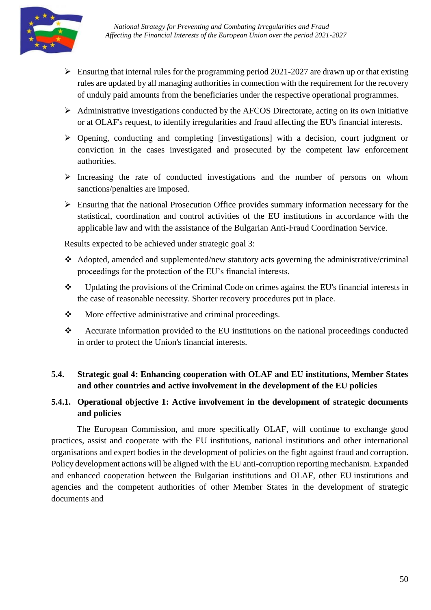

- $\triangleright$  Ensuring that internal rules for the programming period 2021-2027 are drawn up or that existing rules are updated by all managing authorities in connection with the requirement for the recovery of unduly paid amounts from the beneficiaries under the respective operational programmes.
- $\triangleright$  Administrative investigations conducted by the AFCOS Directorate, acting on its own initiative or at OLAF's request, to identify irregularities and fraud affecting the EU's financial interests.
- $\triangleright$  Opening, conducting and completing [investigations] with a decision, court judgment or conviction in the cases investigated and prosecuted by the competent law enforcement authorities.
- $\triangleright$  Increasing the rate of conducted investigations and the number of persons on whom sanctions/penalties are imposed.
- $\triangleright$  Ensuring that the national Prosecution Office provides summary information necessary for the statistical, coordination and control activities of the EU institutions in accordance with the applicable law and with the assistance of the Bulgarian Anti-Fraud Coordination Service.

Results expected to be achieved under strategic goal 3:

- Adopted, amended and supplemented/new statutory acts governing the administrative/criminal proceedings for the protection of the EU's financial interests.
- $\bullet$  Updating the provisions of the Criminal Code on crimes against the EU's financial interests in the case of reasonable necessity. Shorter recovery procedures put in place.
- $\mathbf{\hat{P}}$  More effective administrative and criminal proceedings.
- \* Accurate information provided to the EU institutions on the national proceedings conducted in order to protect the Union's financial interests.

## <span id="page-49-0"></span>**5.4. Strategic goal 4: Enhancing cooperation with OLAF and EU institutions, Member States and other countries and active involvement in the development of the EU policies**

## **5.4.1. Operational objective 1: Active involvement in the development of strategic documents and policies**

The European Commission, and more specifically OLAF, will continue to exchange good practices, assist and cooperate with the EU institutions, national institutions and other international organisations and expert bodies in the development of policies on the fight against fraud and corruption. Policy development actions will be aligned with the EU anti-corruption reporting mechanism. Expanded and enhanced cooperation between the Bulgarian institutions and OLAF, other EU institutions and agencies and the competent authorities of other Member States in the development of strategic documents and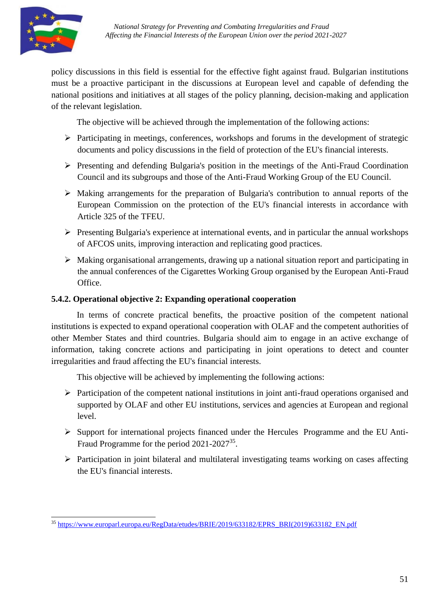

policy discussions in this field is essential for the effective fight against fraud. Bulgarian institutions must be a proactive participant in the discussions at European level and capable of defending the national positions and initiatives at all stages of the policy planning, decision-making and application of the relevant legislation.

The objective will be achieved through the implementation of the following actions:

- $\triangleright$  Participating in meetings, conferences, workshops and forums in the development of strategic documents and policy discussions in the field of protection of the EU's financial interests.
- $\triangleright$  Presenting and defending Bulgaria's position in the meetings of the Anti-Fraud Coordination Council and its subgroups and those of the Anti-Fraud Working Group of the EU Council.
- Making arrangements for the preparation of Bulgaria's contribution to annual reports of the European Commission on the protection of the EU's financial interests in accordance with Article 325 of the TFEU.
- $\triangleright$  Presenting Bulgaria's experience at international events, and in particular the annual workshops of AFCOS units, improving interaction and replicating good practices.
- $\triangleright$  Making organisational arrangements, drawing up a national situation report and participating in the annual conferences of the Cigarettes Working Group organised by the European Anti-Fraud Office.

## **5.4.2. Operational objective 2: Expanding operational cooperation**

In terms of concrete practical benefits, the proactive position of the competent national institutions is expected to expand operational cooperation with OLAF and the competent authorities of other Member States and third countries. Bulgaria should aim to engage in an active exchange of information, taking concrete actions and participating in joint operations to detect and counter irregularities and fraud affecting the EU's financial interests.

This objective will be achieved by implementing the following actions:

- $\triangleright$  Participation of the competent national institutions in joint anti-fraud operations organised and supported by OLAF and other EU institutions, services and agencies at European and regional level.
- $\triangleright$  Support for international projects financed under the Hercules Programme and the EU Anti-Fraud Programme for the period 2021-2027<sup>35</sup>.
- $\triangleright$  Participation in joint bilateral and multilateral investigating teams working on cases affecting the EU's financial interests.

<sup>35</sup> [https://www.europarl.europa.eu/RegData/etudes/BRIE/2019/633182/EPRS\\_BRI\(2019\)633182\\_EN.pdf](https://www.europarl.europa.eu/RegData/etudes/BRIE/2019/633182/EPRS_BRI(2019)633182_EN.pdf)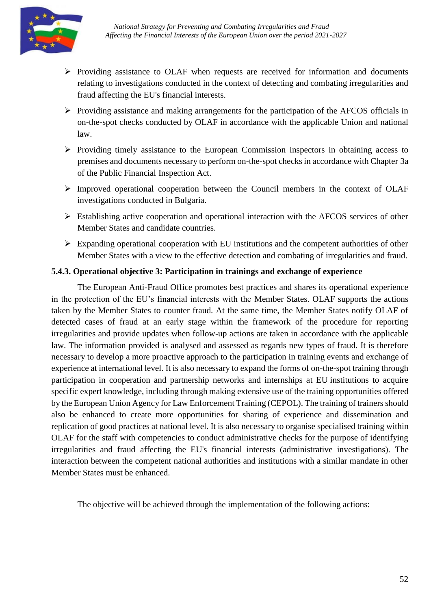

- $\triangleright$  Providing assistance to OLAF when requests are received for information and documents relating to investigations conducted in the context of detecting and combating irregularities and fraud affecting the EU's financial interests.
- $\triangleright$  Providing assistance and making arrangements for the participation of the AFCOS officials in on-the-spot checks conducted by OLAF in accordance with the applicable Union and national law.
- $\triangleright$  Providing timely assistance to the European Commission inspectors in obtaining access to premises and documents necessary to perform on-the-spot checks in accordance with Chapter 3a of the Public Financial Inspection Act.
- $\triangleright$  Improved operational cooperation between the Council members in the context of OLAF investigations conducted in Bulgaria.
- Establishing active cooperation and operational interaction with the AFCOS services of other Member States and candidate countries.
- $\triangleright$  Expanding operational cooperation with EU institutions and the competent authorities of other Member States with a view to the effective detection and combating of irregularities and fraud.

## **5.4.3. Operational objective 3: Participation in trainings and exchange of experience**

The European Anti-Fraud Office promotes best practices and shares its operational experience in the protection of the EU's financial interests with the Member States. OLAF supports the actions taken by the Member States to counter fraud. At the same time, the Member States notify OLAF of detected cases of fraud at an early stage within the framework of the procedure for reporting irregularities and provide updates when follow-up actions are taken in accordance with the applicable law. The information provided is analysed and assessed as regards new types of fraud. It is therefore necessary to develop a more proactive approach to the participation in training events and exchange of experience at international level. It is also necessary to expand the forms of on-the-spot training through participation in cooperation and partnership networks and internships at EU institutions to acquire specific expert knowledge, including through making extensive use of the training opportunities offered by the European Union Agency for Law Enforcement Training (CEPOL). The training of trainers should also be enhanced to create more opportunities for sharing of experience and dissemination and replication of good practices at national level. It is also necessary to organise specialised training within OLAF for the staff with competencies to conduct administrative checks for the purpose of identifying irregularities and fraud affecting the EU's financial interests (administrative investigations). The interaction between the competent national authorities and institutions with a similar mandate in other Member States must be enhanced.

The objective will be achieved through the implementation of the following actions: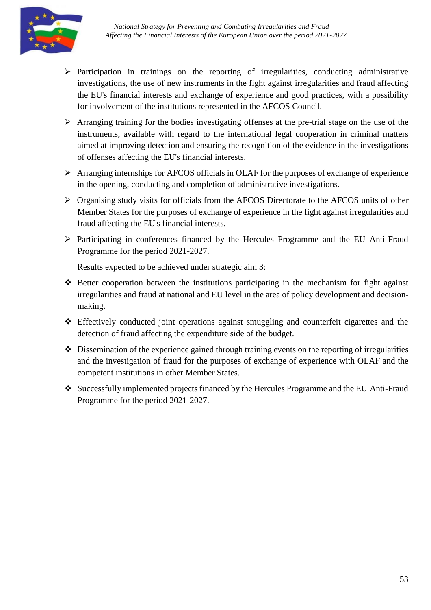

- $\triangleright$  Participation in trainings on the reporting of irregularities, conducting administrative investigations, the use of new instruments in the fight against irregularities and fraud affecting the EU's financial interests and exchange of experience and good practices, with a possibility for involvement of the institutions represented in the AFCOS Council.
- Arranging training for the bodies investigating offenses at the pre-trial stage on the use of the instruments, available with regard to the international legal cooperation in criminal matters aimed at improving detection and ensuring the recognition of the evidence in the investigations of offenses affecting the EU's financial interests.
- Arranging internships for AFCOS officials in OLAF for the purposes of exchange of experience in the opening, conducting and completion of administrative investigations.
- Organising study visits for officials from the AFCOS Directorate to the AFCOS units of other Member States for the purposes of exchange of experience in the fight against irregularities and fraud affecting the EU's financial interests.
- $\triangleright$  Participating in conferences financed by the Hercules Programme and the EU Anti-Fraud Programme for the period 2021-2027.

Results expected to be achieved under strategic aim 3:

- Better cooperation between the institutions participating in the mechanism for fight against irregularities and fraud at national and EU level in the area of policy development and decisionmaking.
- Effectively conducted joint operations against smuggling and counterfeit cigarettes and the detection of fraud affecting the expenditure side of the budget.
- $\triangle$  Dissemination of the experience gained through training events on the reporting of irregularities and the investigation of fraud for the purposes of exchange of experience with OLAF and the competent institutions in other Member States.
- Successfully implemented projects financed by the Hercules Programme and the EU Anti-Fraud Programme for the period 2021-2027.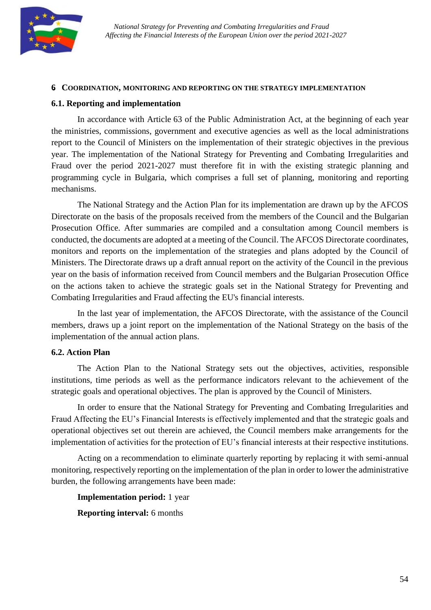

#### <span id="page-53-0"></span>**6. COORDINATION, MONITORING AND REPORTING ON THE STRATEGY IMPLEMENTATION**

#### <span id="page-53-1"></span>**6.1. Reporting and implementation**

In accordance with Article 63 of the Public Administration Act, at the beginning of each year the ministries, commissions, government and executive agencies as well as the local administrations report to the Council of Ministers on the implementation of their strategic objectives in the previous year. The implementation of the National Strategy for Preventing and Combating Irregularities and Fraud over the period 2021-2027 must therefore fit in with the existing strategic planning and programming cycle in Bulgaria, which comprises a full set of planning, monitoring and reporting mechanisms.

The National Strategy and the Action Plan for its implementation are drawn up by the AFCOS Directorate on the basis of the proposals received from the members of the Council and the Bulgarian Prosecution Office. After summaries are compiled and a consultation among Council members is conducted, the documents are adopted at a meeting of the Council. The AFCOS Directorate coordinates, monitors and reports on the implementation of the strategies and plans adopted by the Council of Ministers. The Directorate draws up a draft annual report on the activity of the Council in the previous year on the basis of information received from Council members and the Bulgarian Prosecution Office on the actions taken to achieve the strategic goals set in the National Strategy for Preventing and Combating Irregularities and Fraud affecting the EU's financial interests.

In the last year of implementation, the AFCOS Directorate, with the assistance of the Council members, draws up a joint report on the implementation of the National Strategy on the basis of the implementation of the annual action plans.

#### <span id="page-53-2"></span>**6.2. Action Plan**

The Action Plan to the National Strategy sets out the objectives, activities, responsible institutions, time periods as well as the performance indicators relevant to the achievement of the strategic goals and operational objectives. The plan is approved by the Council of Ministers.

In order to ensure that the National Strategy for Preventing and Combating Irregularities and Fraud Affecting the EU's Financial Interests is effectively implemented and that the strategic goals and operational objectives set out therein are achieved, the Council members make arrangements for the implementation of activities for the protection of EU's financial interests at their respective institutions.

Acting on a recommendation to eliminate quarterly reporting by replacing it with semi-annual monitoring, respectively reporting on the implementation of the plan in order to lower the administrative burden, the following arrangements have been made:

#### **Implementation period:** 1 year

**Reporting interval:** 6 months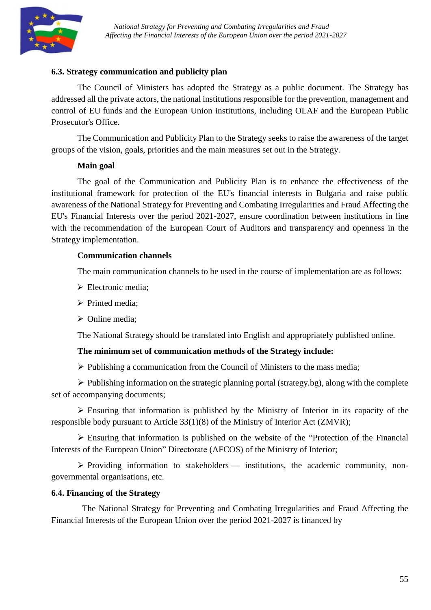

#### <span id="page-54-0"></span>**6.3. Strategy communication and publicity plan**

The Council of Ministers has adopted the Strategy as a public document. The Strategy has addressed all the private actors, the national institutions responsible for the prevention, management and control of EU funds and the European Union institutions, including OLAF and the European Public Prosecutor's Office.

The Communication and Publicity Plan to the Strategy seeks to raise the awareness of the target groups of the vision, goals, priorities and the main measures set out in the Strategy.

#### **Main goal**

The goal of the Communication and Publicity Plan is to enhance the effectiveness of the institutional framework for protection of the EU's financial interests in Bulgaria and raise public awareness of the National Strategy for Preventing and Combating Irregularities and Fraud Affecting the EU's Financial Interests over the period 2021-2027, ensure coordination between institutions in line with the recommendation of the European Court of Auditors and transparency and openness in the Strategy implementation.

#### **Communication channels**

The main communication channels to be used in the course of implementation are as follows:

- Electronic media;
- $\triangleright$  Printed media:
- $\triangleright$  Online media;

The National Strategy should be translated into English and appropriately published online.

#### **The minimum set of communication methods of the Strategy include:**

 $\triangleright$  Publishing a communication from the Council of Ministers to the mass media;

 $\triangleright$  Publishing information on the strategic planning portal (strategy.bg), along with the complete set of accompanying documents;

 Ensuring that information is published by the Ministry of Interior in its capacity of the responsible body pursuant to Article 33(1)(8) of the Ministry of Interior Act (ZMVR);

 Ensuring that information is published on the website of the "Protection of the Financial Interests of the European Union" Directorate (AFCOS) of the Ministry of Interior;

 $\triangleright$  Providing information to stakeholders — institutions, the academic community, nongovernmental organisations, etc.

#### <span id="page-54-1"></span>**6.4. Financing of the Strategy**

The National Strategy for Preventing and Combating Irregularities and Fraud Affecting the Financial Interests of the European Union over the period 2021-2027 is financed by